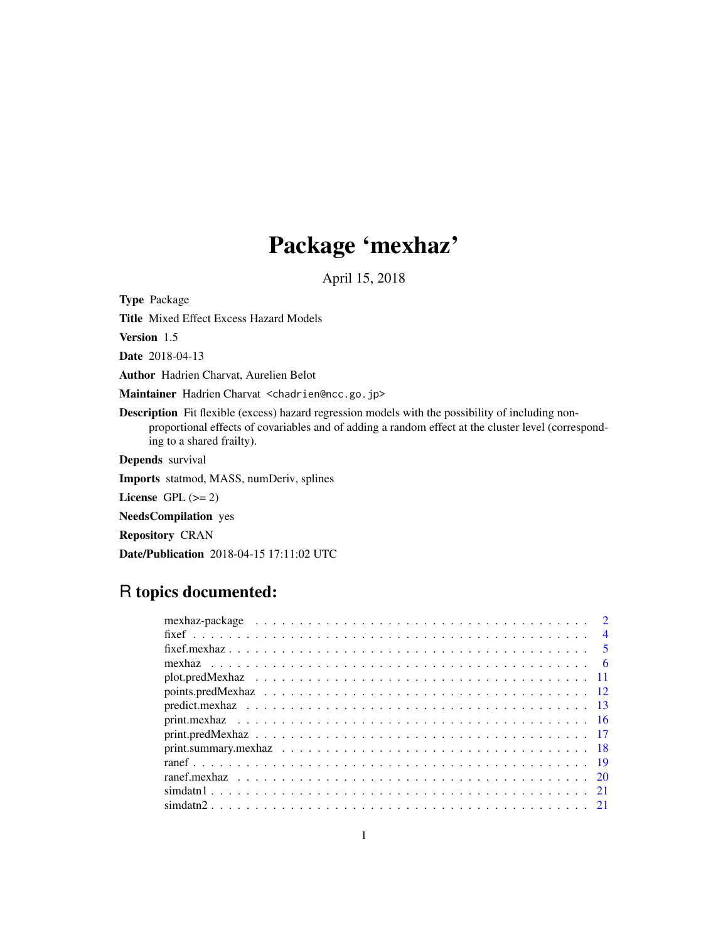# Package 'mexhaz'

April 15, 2018

<span id="page-0-0"></span>Type Package

Title Mixed Effect Excess Hazard Models

Version 1.5

Date 2018-04-13

Author Hadrien Charvat, Aurelien Belot

Maintainer Hadrien Charvat <chadrien@ncc.go.jp>

Description Fit flexible (excess) hazard regression models with the possibility of including nonproportional effects of covariables and of adding a random effect at the cluster level (corresponding to a shared frailty).

Depends survival

Imports statmod, MASS, numDeriv, splines

License GPL  $(>= 2)$ 

NeedsCompilation yes

Repository CRAN

Date/Publication 2018-04-15 17:11:02 UTC

# R topics documented:

|  | $\overline{4}$ |
|--|----------------|
|  |                |
|  |                |
|  |                |
|  |                |
|  |                |
|  |                |
|  |                |
|  |                |
|  |                |
|  |                |
|  |                |
|  |                |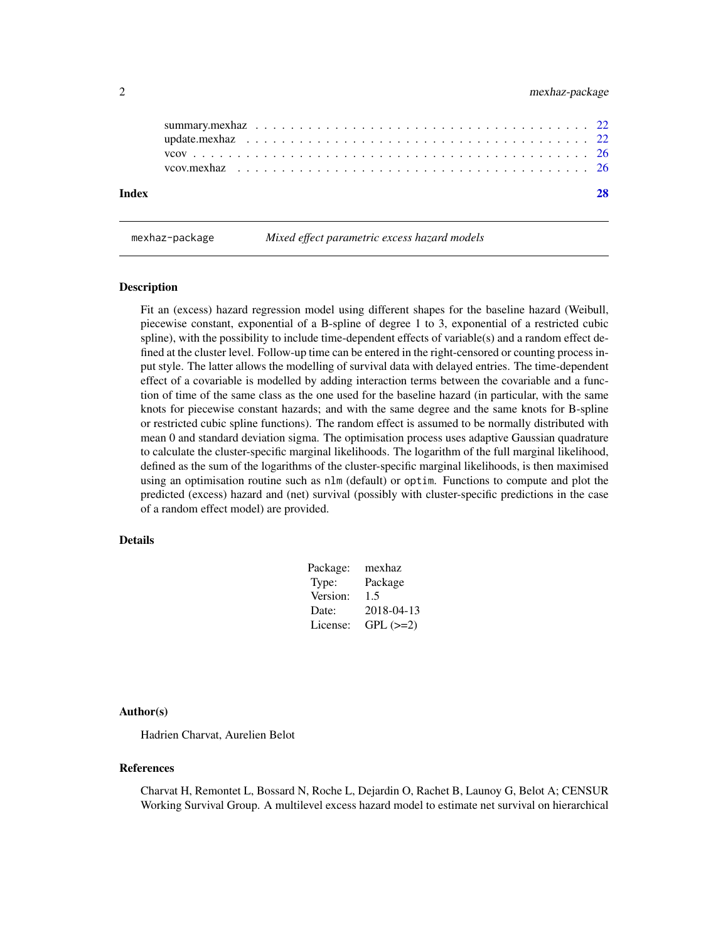<span id="page-1-0"></span>

| Index |  |  |  |  |  |  |  |  |  |  |  |  |  |  |  |  |  |
|-------|--|--|--|--|--|--|--|--|--|--|--|--|--|--|--|--|--|
|       |  |  |  |  |  |  |  |  |  |  |  |  |  |  |  |  |  |
|       |  |  |  |  |  |  |  |  |  |  |  |  |  |  |  |  |  |

mexhaz-package *Mixed effect parametric excess hazard models*

#### Description

Fit an (excess) hazard regression model using different shapes for the baseline hazard (Weibull, piecewise constant, exponential of a B-spline of degree 1 to 3, exponential of a restricted cubic spline), with the possibility to include time-dependent effects of variable(s) and a random effect defined at the cluster level. Follow-up time can be entered in the right-censored or counting process input style. The latter allows the modelling of survival data with delayed entries. The time-dependent effect of a covariable is modelled by adding interaction terms between the covariable and a function of time of the same class as the one used for the baseline hazard (in particular, with the same knots for piecewise constant hazards; and with the same degree and the same knots for B-spline or restricted cubic spline functions). The random effect is assumed to be normally distributed with mean 0 and standard deviation sigma. The optimisation process uses adaptive Gaussian quadrature to calculate the cluster-specific marginal likelihoods. The logarithm of the full marginal likelihood, defined as the sum of the logarithms of the cluster-specific marginal likelihoods, is then maximised using an optimisation routine such as nlm (default) or optim. Functions to compute and plot the predicted (excess) hazard and (net) survival (possibly with cluster-specific predictions in the case of a random effect model) are provided.

#### Details

| Package: | mexhaz     |
|----------|------------|
| Type:    | Package    |
| Version: | 1.5        |
| Date:    | 2018-04-13 |
| License: | $GPL (=2)$ |

#### Author(s)

Hadrien Charvat, Aurelien Belot

#### References

Charvat H, Remontet L, Bossard N, Roche L, Dejardin O, Rachet B, Launoy G, Belot A; CENSUR Working Survival Group. A multilevel excess hazard model to estimate net survival on hierarchical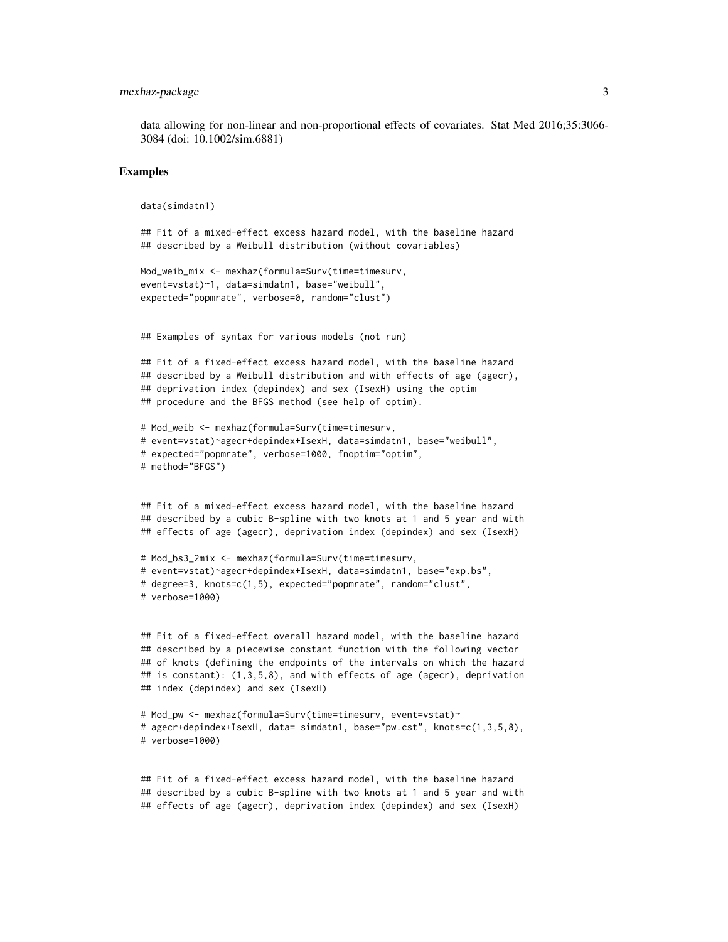#### mexhaz-package 3

data allowing for non-linear and non-proportional effects of covariates. Stat Med 2016;35:3066- 3084 (doi: 10.1002/sim.6881)

#### Examples

```
data(simdatn1)
```

```
## Fit of a mixed-effect excess hazard model, with the baseline hazard
## described by a Weibull distribution (without covariables)
```

```
Mod_weib_mix <- mexhaz(formula=Surv(time=timesurv,
event=vstat)~1, data=simdatn1, base="weibull",
expected="popmrate", verbose=0, random="clust")
```
## Examples of syntax for various models (not run)

```
## Fit of a fixed-effect excess hazard model, with the baseline hazard
## described by a Weibull distribution and with effects of age (agecr),
## deprivation index (depindex) and sex (IsexH) using the optim
## procedure and the BFGS method (see help of optim).
```

```
# Mod_weib <- mexhaz(formula=Surv(time=timesurv,
# event=vstat)~agecr+depindex+IsexH, data=simdatn1, base="weibull",
# expected="popmrate", verbose=1000, fnoptim="optim",
# method="BFGS")
```

```
## Fit of a mixed-effect excess hazard model, with the baseline hazard
## described by a cubic B-spline with two knots at 1 and 5 year and with
## effects of age (agecr), deprivation index (depindex) and sex (IsexH)
```

```
# Mod_bs3_2mix <- mexhaz(formula=Surv(time=timesurv,
# event=vstat)~agecr+depindex+IsexH, data=simdatn1, base="exp.bs",
# degree=3, knots=c(1,5), expected="popmrate", random="clust",
# verbose=1000)
```

```
## Fit of a fixed-effect overall hazard model, with the baseline hazard
## described by a piecewise constant function with the following vector
## of knots (defining the endpoints of the intervals on which the hazard
## is constant): (1,3,5,8), and with effects of age (agecr), deprivation
## index (depindex) and sex (IsexH)
```

```
# Mod_pw <- mexhaz(formula=Surv(time=timesurv, event=vstat)~
# agecr+depindex+IsexH, data= simdatn1, base="pw.cst", knots=c(1,3,5,8),
# verbose=1000)
```

```
## Fit of a fixed-effect excess hazard model, with the baseline hazard
## described by a cubic B-spline with two knots at 1 and 5 year and with
## effects of age (agecr), deprivation index (depindex) and sex (IsexH)
```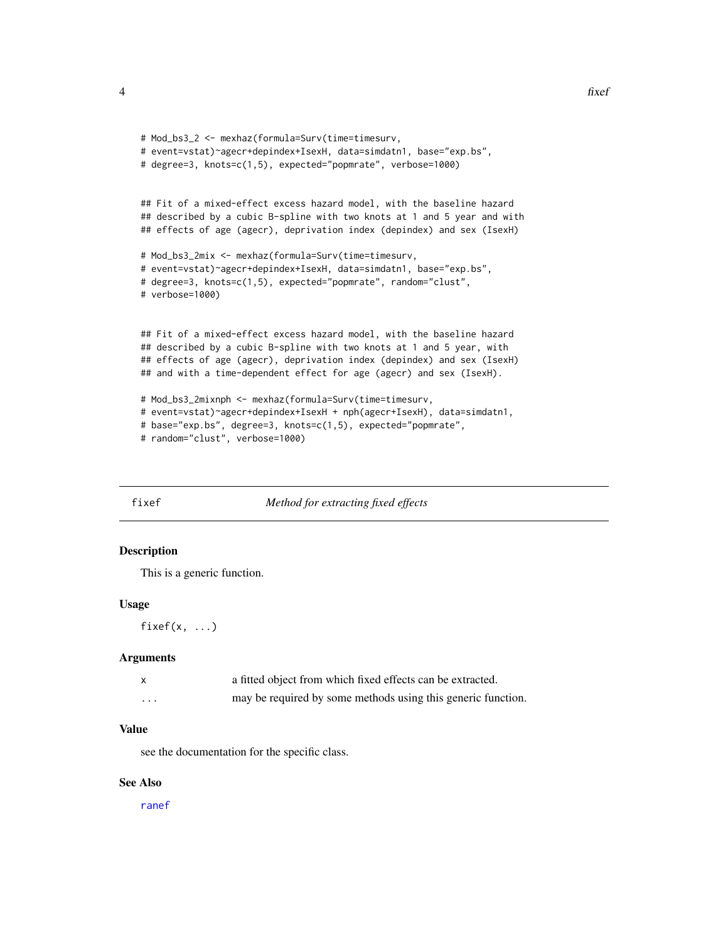```
# Mod_bs3_2 <- mexhaz(formula=Surv(time=timesurv,
# event=vstat)~agecr+depindex+IsexH, data=simdatn1, base="exp.bs",
# degree=3, knots=c(1,5), expected="popmrate", verbose=1000)
## Fit of a mixed-effect excess hazard model, with the baseline hazard
## described by a cubic B-spline with two knots at 1 and 5 year and with
## effects of age (agecr), deprivation index (depindex) and sex (IsexH)
# Mod_bs3_2mix <- mexhaz(formula=Surv(time=timesurv,
# event=vstat)~agecr+depindex+IsexH, data=simdatn1, base="exp.bs",
# degree=3, knots=c(1,5), expected="popmrate", random="clust",
# verbose=1000)
## Fit of a mixed-effect excess hazard model, with the baseline hazard
## described by a cubic B-spline with two knots at 1 and 5 year, with
## effects of age (agecr), deprivation index (depindex) and sex (IsexH)
## and with a time-dependent effect for age (agecr) and sex (IsexH).
# Mod_bs3_2mixnph <- mexhaz(formula=Surv(time=timesurv,
# event=vstat)~agecr+depindex+IsexH + nph(agecr+IsexH), data=simdatn1,
# base="exp.bs", degree=3, knots=c(1,5), expected="popmrate",
# random="clust", verbose=1000)
```
# <span id="page-3-1"></span>fixef *Method for extracting fixed effects*

# Description

This is a generic function.

#### Usage

 $fixef(x, ...)$ 

#### Arguments

|                   | a fitted object from which fixed effects can be extracted.   |
|-------------------|--------------------------------------------------------------|
| $\cdot\cdot\cdot$ | may be required by some methods using this generic function. |

# Value

see the documentation for the specific class.

## See Also

[ranef](#page-18-1)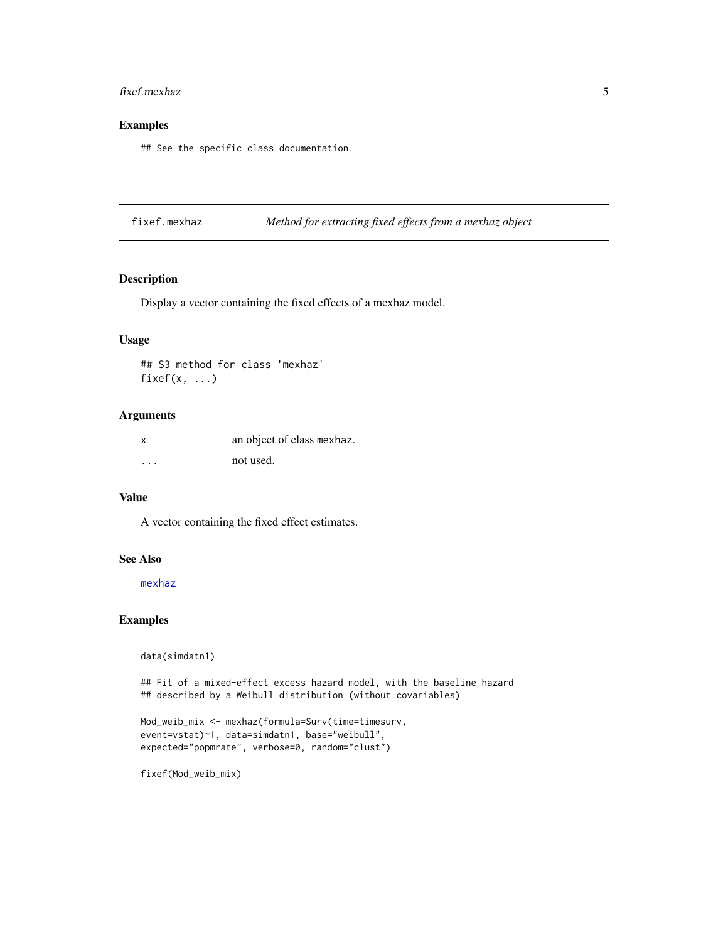#### <span id="page-4-0"></span>fixef.mexhaz 5

# Examples

## See the specific class documentation.

<span id="page-4-1"></span>fixef.mexhaz *Method for extracting fixed effects from a mexhaz object*

#### Description

Display a vector containing the fixed effects of a mexhaz model.

# Usage

## S3 method for class 'mexhaz' fixef $(x, \ldots)$ 

# Arguments

| X | an object of class mexhaz. |
|---|----------------------------|
| . | not used.                  |

# Value

A vector containing the fixed effect estimates.

#### See Also

[mexhaz](#page-5-1)

# Examples

data(simdatn1)

## Fit of a mixed-effect excess hazard model, with the baseline hazard ## described by a Weibull distribution (without covariables)

```
Mod_weib_mix <- mexhaz(formula=Surv(time=timesurv,
event=vstat)~1, data=simdatn1, base="weibull",
expected="popmrate", verbose=0, random="clust")
```
fixef(Mod\_weib\_mix)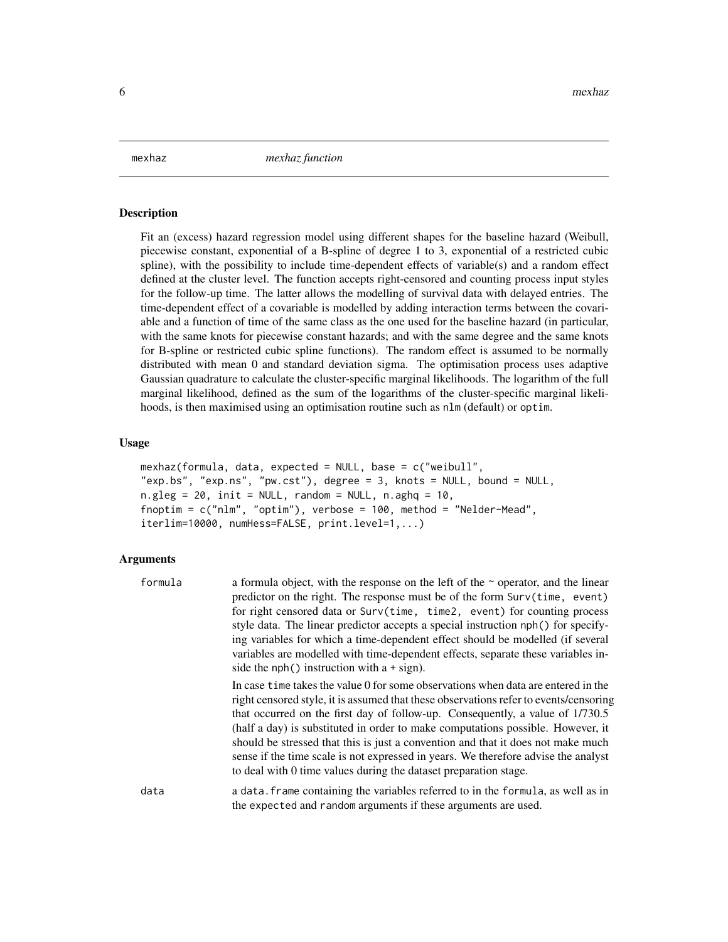<span id="page-5-1"></span><span id="page-5-0"></span>mexhaz *mexhaz function*

#### **Description**

Fit an (excess) hazard regression model using different shapes for the baseline hazard (Weibull, piecewise constant, exponential of a B-spline of degree 1 to 3, exponential of a restricted cubic spline), with the possibility to include time-dependent effects of variable(s) and a random effect defined at the cluster level. The function accepts right-censored and counting process input styles for the follow-up time. The latter allows the modelling of survival data with delayed entries. The time-dependent effect of a covariable is modelled by adding interaction terms between the covariable and a function of time of the same class as the one used for the baseline hazard (in particular, with the same knots for piecewise constant hazards; and with the same degree and the same knots for B-spline or restricted cubic spline functions). The random effect is assumed to be normally distributed with mean 0 and standard deviation sigma. The optimisation process uses adaptive Gaussian quadrature to calculate the cluster-specific marginal likelihoods. The logarithm of the full marginal likelihood, defined as the sum of the logarithms of the cluster-specific marginal likelihoods, is then maximised using an optimisation routine such as nlm (default) or optim.

#### Usage

```
mexhaz(formula, data, expected = NULL, base = c("weibull",
"exp.bs", "exp.ns", "pw.cst"), degree = 3, knots = NULL, bound = NULL,
n.gleg = 20, init = NULL, random = NULL, n.gheq = 10,
fnoptim = c("nlm", "optim"), verbose = 100, method = "Nelder-Mead",
iterlim=10000, numHess=FALSE, print.level=1,...)
```
#### Arguments

| formula | a formula object, with the response on the left of the $\sim$ operator, and the linear<br>predictor on the right. The response must be of the form Surv(time, event)<br>for right censored data or Surv(time, time2, event) for counting process<br>style data. The linear predictor accepts a special instruction nph() for specify-<br>ing variables for which a time-dependent effect should be modelled (if several<br>variables are modelled with time-dependent effects, separate these variables in-<br>side the nph() instruction with $a + sign$ .                                  |
|---------|----------------------------------------------------------------------------------------------------------------------------------------------------------------------------------------------------------------------------------------------------------------------------------------------------------------------------------------------------------------------------------------------------------------------------------------------------------------------------------------------------------------------------------------------------------------------------------------------|
|         | In case time takes the value 0 for some observations when data are entered in the<br>right censored style, it is assumed that these observations refer to events/censoring<br>that occurred on the first day of follow-up. Consequently, a value of 1/730.5<br>(half a day) is substituted in order to make computations possible. However, it<br>should be stressed that this is just a convention and that it does not make much<br>sense if the time scale is not expressed in years. We therefore advise the analyst<br>to deal with 0 time values during the dataset preparation stage. |
| data    | a data. frame containing the variables referred to in the formula, as well as in<br>the expected and random arguments if these arguments are used.                                                                                                                                                                                                                                                                                                                                                                                                                                           |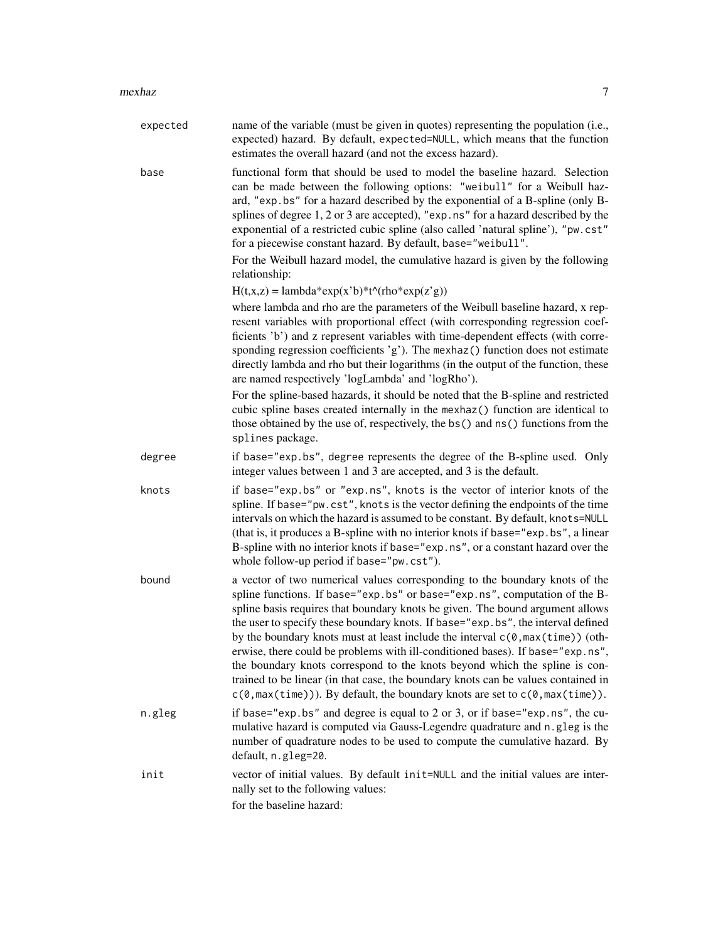| expected | name of the variable (must be given in quotes) representing the population (i.e.,<br>expected) hazard. By default, expected=NULL, which means that the function<br>estimates the overall hazard (and not the excess hazard).                                                                                                                                                                                                                                                                                                                                                                                                                                                                                                                                                                        |
|----------|-----------------------------------------------------------------------------------------------------------------------------------------------------------------------------------------------------------------------------------------------------------------------------------------------------------------------------------------------------------------------------------------------------------------------------------------------------------------------------------------------------------------------------------------------------------------------------------------------------------------------------------------------------------------------------------------------------------------------------------------------------------------------------------------------------|
| base     | functional form that should be used to model the baseline hazard. Selection<br>can be made between the following options: "weibull" for a Weibull haz-<br>ard, "exp.bs" for a hazard described by the exponential of a B-spline (only B-<br>splines of degree 1, 2 or 3 are accepted), "exp.ns" for a hazard described by the<br>exponential of a restricted cubic spline (also called 'natural spline'), "pw.cst"<br>for a piecewise constant hazard. By default, base="weibull".                                                                                                                                                                                                                                                                                                                  |
|          | For the Weibull hazard model, the cumulative hazard is given by the following<br>relationship:                                                                                                                                                                                                                                                                                                                                                                                                                                                                                                                                                                                                                                                                                                      |
|          | $H(t, x, z) =$ lambda*exp(x'b)*t^(rho*exp(z'g))                                                                                                                                                                                                                                                                                                                                                                                                                                                                                                                                                                                                                                                                                                                                                     |
|          | where lambda and rho are the parameters of the Weibull baseline hazard, x rep-<br>resent variables with proportional effect (with corresponding regression coef-<br>ficients 'b') and z represent variables with time-dependent effects (with corre-<br>sponding regression coefficients 'g'). The mexhaz() function does not estimate<br>directly lambda and rho but their logarithms (in the output of the function, these<br>are named respectively 'logLambda' and 'logRho').                                                                                                                                                                                                                                                                                                                   |
|          | For the spline-based hazards, it should be noted that the B-spline and restricted<br>cubic spline bases created internally in the mexhaz() function are identical to<br>those obtained by the use of, respectively, the bs() and ns() functions from the<br>splines package.                                                                                                                                                                                                                                                                                                                                                                                                                                                                                                                        |
| degree   | if base="exp.bs", degree represents the degree of the B-spline used. Only<br>integer values between 1 and 3 are accepted, and 3 is the default.                                                                                                                                                                                                                                                                                                                                                                                                                                                                                                                                                                                                                                                     |
| knots    | if base="exp.bs" or "exp.ns", knots is the vector of interior knots of the<br>spline. If base="pw.cst", knots is the vector defining the endpoints of the time<br>intervals on which the hazard is assumed to be constant. By default, knots=NULL<br>(that is, it produces a B-spline with no interior knots if base="exp.bs", a linear<br>B-spline with no interior knots if base="exp.ns", or a constant hazard over the<br>whole follow-up period if base="pw.cst").                                                                                                                                                                                                                                                                                                                             |
| bound    | a vector of two numerical values corresponding to the boundary knots of the<br>spline functions. If base="exp.bs" or base="exp.ns", computation of the B-<br>spline basis requires that boundary knots be given. The bound argument allows<br>the user to specify these boundary knots. If base="exp.bs", the interval defined<br>by the boundary knots must at least include the interval $c(\theta, \max(\text{time}))$ (oth-<br>erwise, there could be problems with ill-conditioned bases). If base="exp.ns",<br>the boundary knots correspond to the knots beyond which the spline is con-<br>trained to be linear (in that case, the boundary knots can be values contained in<br>$c(\theta, \max(\text{time}))$ . By default, the boundary knots are set to $c(\theta, \max(\text{time}))$ . |
| n.gleg   | if base="exp.bs" and degree is equal to 2 or 3, or if base="exp.ns", the cu-<br>mulative hazard is computed via Gauss-Legendre quadrature and n.gleg is the<br>number of quadrature nodes to be used to compute the cumulative hazard. By<br>default, n.gleg=20.                                                                                                                                                                                                                                                                                                                                                                                                                                                                                                                                    |
| init     | vector of initial values. By default init=NULL and the initial values are inter-<br>nally set to the following values:<br>for the baseline hazard:                                                                                                                                                                                                                                                                                                                                                                                                                                                                                                                                                                                                                                                  |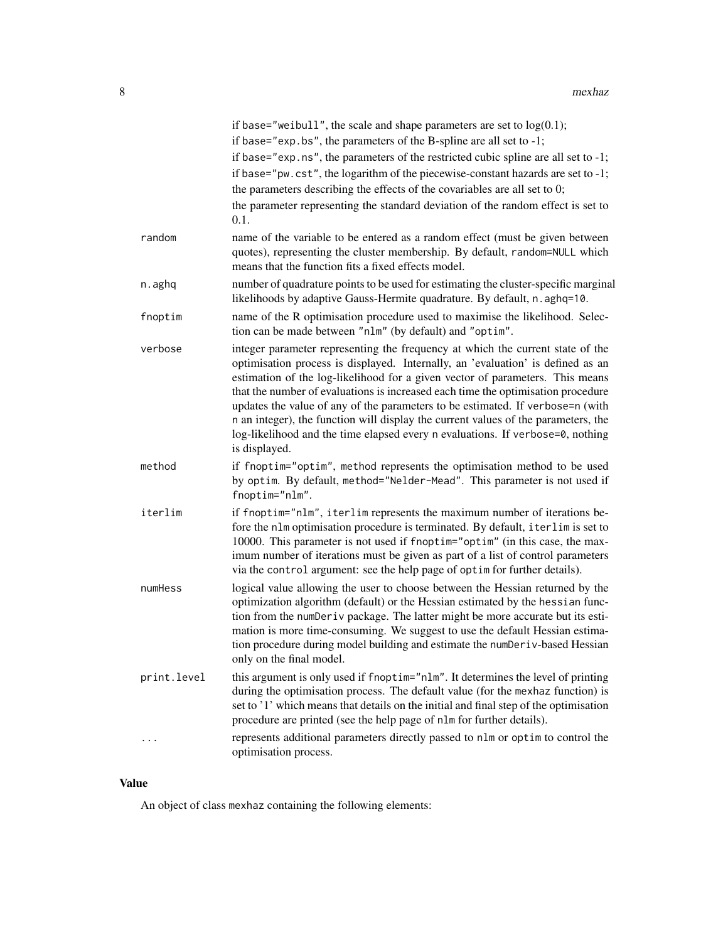|             | if base="weibull", the scale and shape parameters are set to $log(0.1)$ ;<br>if base="exp. bs", the parameters of the B-spline are all set to $-1$ ;                                                                                                                                                                                                                                                                                                                                                                                                                                                              |
|-------------|-------------------------------------------------------------------------------------------------------------------------------------------------------------------------------------------------------------------------------------------------------------------------------------------------------------------------------------------------------------------------------------------------------------------------------------------------------------------------------------------------------------------------------------------------------------------------------------------------------------------|
|             | if base="exp.ns", the parameters of the restricted cubic spline are all set to -1;<br>if base="pw.cst", the logarithm of the piecewise-constant hazards are set to -1;<br>the parameters describing the effects of the covariables are all set to 0;                                                                                                                                                                                                                                                                                                                                                              |
|             | the parameter representing the standard deviation of the random effect is set to<br>0.1.                                                                                                                                                                                                                                                                                                                                                                                                                                                                                                                          |
| random      | name of the variable to be entered as a random effect (must be given between<br>quotes), representing the cluster membership. By default, random=NULL which<br>means that the function fits a fixed effects model.                                                                                                                                                                                                                                                                                                                                                                                                |
| n.aghq      | number of quadrature points to be used for estimating the cluster-specific marginal<br>likelihoods by adaptive Gauss-Hermite quadrature. By default, n. aghq=10.                                                                                                                                                                                                                                                                                                                                                                                                                                                  |
| fnoptim     | name of the R optimisation procedure used to maximise the likelihood. Selec-<br>tion can be made between "nlm" (by default) and "optim".                                                                                                                                                                                                                                                                                                                                                                                                                                                                          |
| verbose     | integer parameter representing the frequency at which the current state of the<br>optimisation process is displayed. Internally, an 'evaluation' is defined as an<br>estimation of the log-likelihood for a given vector of parameters. This means<br>that the number of evaluations is increased each time the optimisation procedure<br>updates the value of any of the parameters to be estimated. If verbose=n (with<br>n an integer), the function will display the current values of the parameters, the<br>log-likelihood and the time elapsed every n evaluations. If verbose=0, nothing<br>is displayed. |
| method      | if fnoptim="optim", method represents the optimisation method to be used<br>by optim. By default, method="Nelder-Mead". This parameter is not used if<br>fnoptim="nlm".                                                                                                                                                                                                                                                                                                                                                                                                                                           |
| iterlim     | if fnoptim="nlm", iterlim represents the maximum number of iterations be-<br>fore the nlm optimisation procedure is terminated. By default, iterlim is set to<br>10000. This parameter is not used if fnoptim="optim" (in this case, the max-<br>imum number of iterations must be given as part of a list of control parameters<br>via the control argument: see the help page of optim for further details).                                                                                                                                                                                                    |
| numHess     | logical value allowing the user to choose between the Hessian returned by the<br>optimization algorithm (default) or the Hessian estimated by the hessian func-<br>tion from the numDeriv package. The latter might be more accurate but its esti-<br>mation is more time-consuming. We suggest to use the default Hessian estima-<br>tion procedure during model building and estimate the numDeriv-based Hessian<br>only on the final model.                                                                                                                                                                    |
| print.level | this argument is only used if fnoptim="nlm". It determines the level of printing<br>during the optimisation process. The default value (for the mexhaz function) is<br>set to '1' which means that details on the initial and final step of the optimisation<br>procedure are printed (see the help page of nlm for further details).                                                                                                                                                                                                                                                                             |
| .           | represents additional parameters directly passed to nlm or optim to control the<br>optimisation process.                                                                                                                                                                                                                                                                                                                                                                                                                                                                                                          |

# Value

An object of class mexhaz containing the following elements: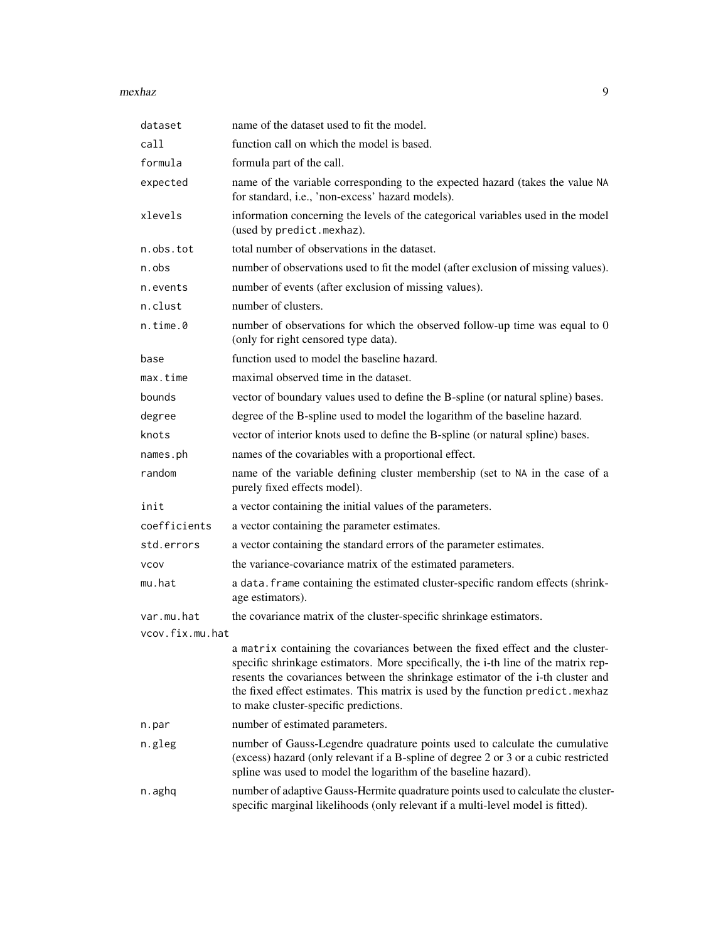#### mexhaz 9

| dataset         | name of the dataset used to fit the model.                                                                                                                                                                                                                                                                                                                                        |
|-----------------|-----------------------------------------------------------------------------------------------------------------------------------------------------------------------------------------------------------------------------------------------------------------------------------------------------------------------------------------------------------------------------------|
| call            | function call on which the model is based.                                                                                                                                                                                                                                                                                                                                        |
| formula         | formula part of the call.                                                                                                                                                                                                                                                                                                                                                         |
| expected        | name of the variable corresponding to the expected hazard (takes the value NA<br>for standard, i.e., 'non-excess' hazard models).                                                                                                                                                                                                                                                 |
| xlevels         | information concerning the levels of the categorical variables used in the model<br>(used by predict.mexhaz).                                                                                                                                                                                                                                                                     |
| n.obs.tot       | total number of observations in the dataset.                                                                                                                                                                                                                                                                                                                                      |
| n.obs           | number of observations used to fit the model (after exclusion of missing values).                                                                                                                                                                                                                                                                                                 |
| n.events        | number of events (after exclusion of missing values).                                                                                                                                                                                                                                                                                                                             |
| n.clust         | number of clusters.                                                                                                                                                                                                                                                                                                                                                               |
| n.time.0        | number of observations for which the observed follow-up time was equal to 0<br>(only for right censored type data).                                                                                                                                                                                                                                                               |
| base            | function used to model the baseline hazard.                                                                                                                                                                                                                                                                                                                                       |
| max.time        | maximal observed time in the dataset.                                                                                                                                                                                                                                                                                                                                             |
| bounds          | vector of boundary values used to define the B-spline (or natural spline) bases.                                                                                                                                                                                                                                                                                                  |
| degree          | degree of the B-spline used to model the logarithm of the baseline hazard.                                                                                                                                                                                                                                                                                                        |
| knots           | vector of interior knots used to define the B-spline (or natural spline) bases.                                                                                                                                                                                                                                                                                                   |
| names.ph        | names of the covariables with a proportional effect.                                                                                                                                                                                                                                                                                                                              |
| random          | name of the variable defining cluster membership (set to NA in the case of a<br>purely fixed effects model).                                                                                                                                                                                                                                                                      |
| init            | a vector containing the initial values of the parameters.                                                                                                                                                                                                                                                                                                                         |
| coefficients    | a vector containing the parameter estimates.                                                                                                                                                                                                                                                                                                                                      |
| std.errors      | a vector containing the standard errors of the parameter estimates.                                                                                                                                                                                                                                                                                                               |
| <b>VCOV</b>     | the variance-covariance matrix of the estimated parameters.                                                                                                                                                                                                                                                                                                                       |
| mu.hat          | a data. frame containing the estimated cluster-specific random effects (shrink-<br>age estimators).                                                                                                                                                                                                                                                                               |
| var.mu.hat      | the covariance matrix of the cluster-specific shrinkage estimators.                                                                                                                                                                                                                                                                                                               |
| ycov.fix.mu.hat |                                                                                                                                                                                                                                                                                                                                                                                   |
|                 | a matrix containing the covariances between the fixed effect and the cluster-<br>specific shrinkage estimators. More specifically, the i-th line of the matrix rep-<br>resents the covariances between the shrinkage estimator of the i-th cluster and<br>the fixed effect estimates. This matrix is used by the function predict.mexhaz<br>to make cluster-specific predictions. |
| n.par           | number of estimated parameters.                                                                                                                                                                                                                                                                                                                                                   |
| n.gleg          | number of Gauss-Legendre quadrature points used to calculate the cumulative<br>(excess) hazard (only relevant if a B-spline of degree 2 or 3 or a cubic restricted<br>spline was used to model the logarithm of the baseline hazard).                                                                                                                                             |
| n.aghq          | number of adaptive Gauss-Hermite quadrature points used to calculate the cluster-<br>specific marginal likelihoods (only relevant if a multi-level model is fitted).                                                                                                                                                                                                              |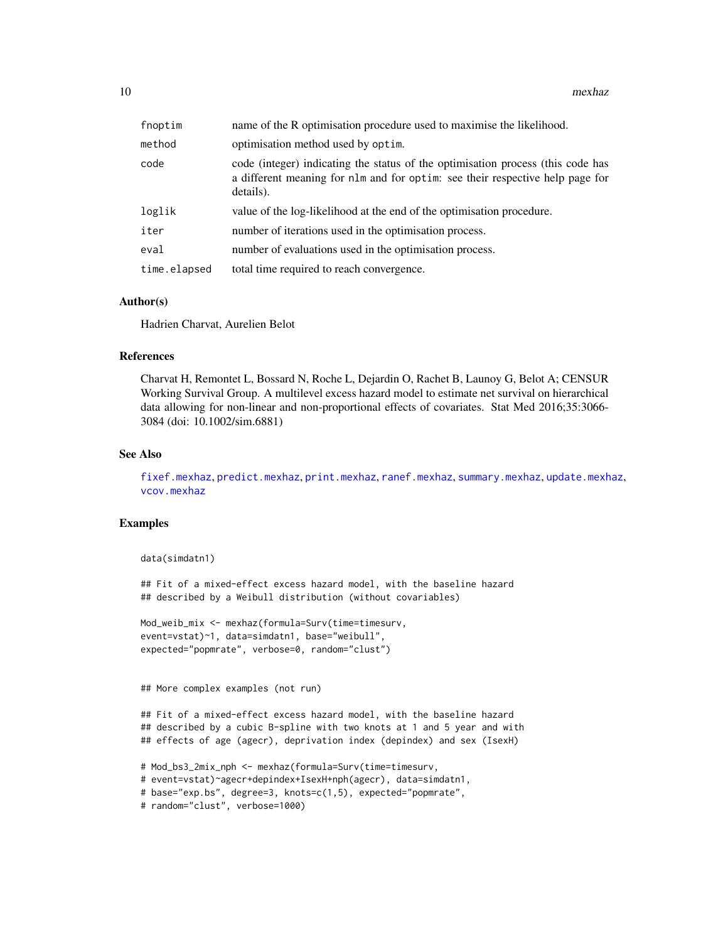<span id="page-9-0"></span>

| fnoptim      | name of the R optimisation procedure used to maximise the likelihood.                                                                                                         |
|--------------|-------------------------------------------------------------------------------------------------------------------------------------------------------------------------------|
| method       | optimisation method used by optim.                                                                                                                                            |
| code         | code (integer) indicating the status of the optimisation process (this code has<br>a different meaning for nlm and for optim: see their respective help page for<br>details). |
| loglik       | value of the log-likelihood at the end of the optimisation procedure.                                                                                                         |
| iter         | number of iterations used in the optimisation process.                                                                                                                        |
| eval         | number of evaluations used in the optimisation process.                                                                                                                       |
| time.elapsed | total time required to reach convergence.                                                                                                                                     |

#### Author(s)

Hadrien Charvat, Aurelien Belot

#### References

Charvat H, Remontet L, Bossard N, Roche L, Dejardin O, Rachet B, Launoy G, Belot A; CENSUR Working Survival Group. A multilevel excess hazard model to estimate net survival on hierarchical data allowing for non-linear and non-proportional effects of covariates. Stat Med 2016;35:3066- 3084 (doi: 10.1002/sim.6881)

#### See Also

[fixef.mexhaz](#page-4-1), [predict.mexhaz](#page-12-1), [print.mexhaz](#page-15-1), [ranef.mexhaz](#page-19-1), [summary.mexhaz](#page-21-1), [update.mexhaz](#page-21-2), [vcov.mexhaz](#page-25-1)

#### Examples

```
data(simdatn1)
```
## Fit of a mixed-effect excess hazard model, with the baseline hazard ## described by a Weibull distribution (without covariables)

```
Mod_weib_mix <- mexhaz(formula=Surv(time=timesurv,
event=vstat)~1, data=simdatn1, base="weibull",
expected="popmrate", verbose=0, random="clust")
```
## More complex examples (not run)

## Fit of a mixed-effect excess hazard model, with the baseline hazard ## described by a cubic B-spline with two knots at 1 and 5 year and with ## effects of age (agecr), deprivation index (depindex) and sex (IsexH)

```
# Mod_bs3_2mix_nph <- mexhaz(formula=Surv(time=timesurv,
# event=vstat)~agecr+depindex+IsexH+nph(agecr), data=simdatn1,
# base="exp.bs", degree=3, knots=c(1,5), expected="popmrate",
# random="clust", verbose=1000)
```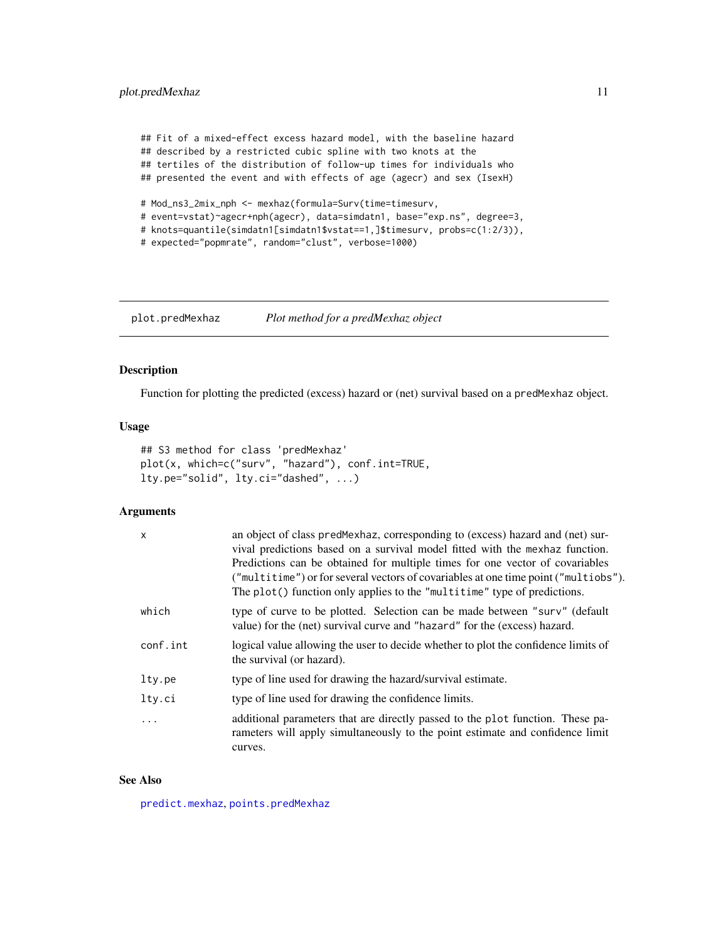<span id="page-10-0"></span>## Fit of a mixed-effect excess hazard model, with the baseline hazard ## described by a restricted cubic spline with two knots at the ## tertiles of the distribution of follow-up times for individuals who ## presented the event and with effects of age (agecr) and sex (IsexH) # Mod\_ns3\_2mix\_nph <- mexhaz(formula=Surv(time=timesurv, # event=vstat)~agecr+nph(agecr), data=simdatn1, base="exp.ns", degree=3,

# knots=quantile(simdatn1[simdatn1\$vstat==1,]\$timesurv, probs=c(1:2/3)),

```
# expected="popmrate", random="clust", verbose=1000)
```
<span id="page-10-1"></span>plot.predMexhaz *Plot method for a predMexhaz object*

# Description

Function for plotting the predicted (excess) hazard or (net) survival based on a predMexhaz object.

#### Usage

```
## S3 method for class 'predMexhaz'
plot(x, which=c("surv", "hazard"), conf.int=TRUE,
lty.pe="solid", lty.ci="dashed", ...)
```
#### Arguments

| X        | an object of class predMexhaz, corresponding to (excess) hazard and (net) sur-<br>vival predictions based on a survival model fitted with the mexhaz function.<br>Predictions can be obtained for multiple times for one vector of covariables<br>("multitime") or for several vectors of covariables at one time point ("multiobs").<br>The plot() function only applies to the "multitime" type of predictions. |
|----------|-------------------------------------------------------------------------------------------------------------------------------------------------------------------------------------------------------------------------------------------------------------------------------------------------------------------------------------------------------------------------------------------------------------------|
| which    | type of curve to be plotted. Selection can be made between "surv" (default<br>value) for the (net) survival curve and "hazard" for the (excess) hazard.                                                                                                                                                                                                                                                           |
| conf.int | logical value allowing the user to decide whether to plot the confidence limits of<br>the survival (or hazard).                                                                                                                                                                                                                                                                                                   |
| lty.pe   | type of line used for drawing the hazard/survival estimate.                                                                                                                                                                                                                                                                                                                                                       |
| lty.ci   | type of line used for drawing the confidence limits.                                                                                                                                                                                                                                                                                                                                                              |
| $\cdot$  | additional parameters that are directly passed to the plot function. These pa-<br>rameters will apply simultaneously to the point estimate and confidence limit<br>curves.                                                                                                                                                                                                                                        |

# See Also

[predict.mexhaz](#page-12-1), [points.predMexhaz](#page-11-1)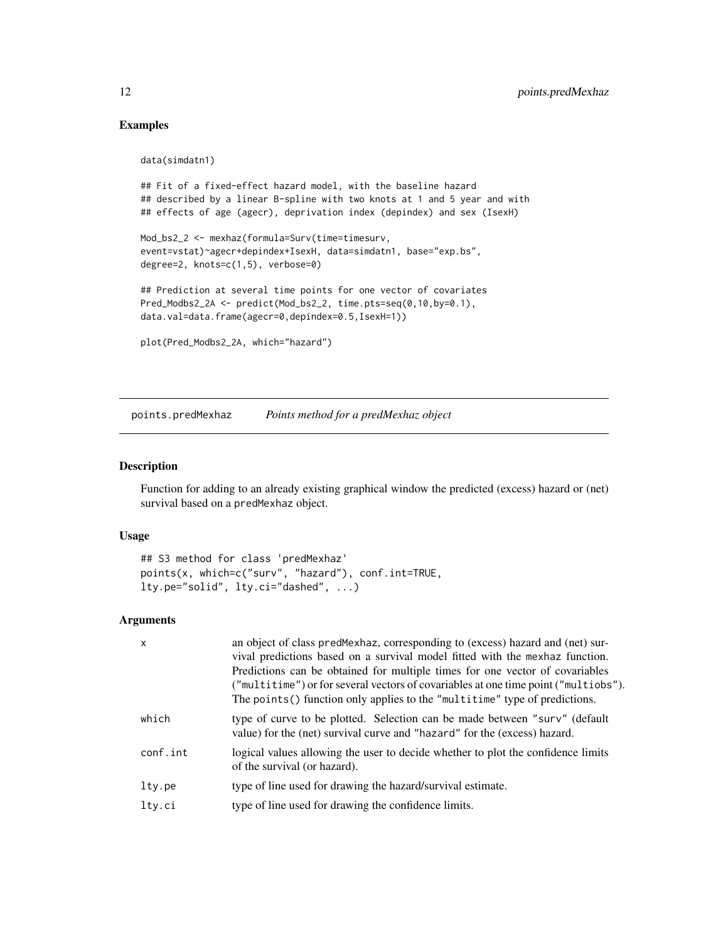# <span id="page-11-0"></span>Examples

```
data(simdatn1)
```

```
## Fit of a fixed-effect hazard model, with the baseline hazard
## described by a linear B-spline with two knots at 1 and 5 year and with
## effects of age (agecr), deprivation index (depindex) and sex (IsexH)
```

```
Mod_bs2_2 <- mexhaz(formula=Surv(time=timesurv,
event=vstat)~agecr+depindex+IsexH, data=simdatn1, base="exp.bs",
degree=2, knots=c(1,5), verbose=0)
```

```
## Prediction at several time points for one vector of covariates
Pred_Modbs2_2A <- predict(Mod_bs2_2, time.pts=seq(0,10,by=0.1),
data.val=data.frame(agecr=0,depindex=0.5,IsexH=1))
```

```
plot(Pred_Modbs2_2A, which="hazard")
```
<span id="page-11-1"></span>points.predMexhaz *Points method for a predMexhaz object*

#### Description

Function for adding to an already existing graphical window the predicted (excess) hazard or (net) survival based on a predMexhaz object.

# Usage

```
## S3 method for class 'predMexhaz'
points(x, which=c("surv", "hazard"), conf.int=TRUE,
lty.pe="solid", lty.ci="dashed", ...)
```
### Arguments

| $\times$ | an object of class predMexhaz, corresponding to (excess) hazard and (net) sur-<br>vival predictions based on a survival model fitted with the mexhaz function.<br>Predictions can be obtained for multiple times for one vector of covariables<br>("multitime") or for several vectors of covariables at one time point ("multiobs").<br>The points () function only applies to the "multitime" type of predictions. |
|----------|----------------------------------------------------------------------------------------------------------------------------------------------------------------------------------------------------------------------------------------------------------------------------------------------------------------------------------------------------------------------------------------------------------------------|
| which    | type of curve to be plotted. Selection can be made between "surv" (default<br>value) for the (net) survival curve and "hazard" for the (excess) hazard.                                                                                                                                                                                                                                                              |
| conf.int | logical values allowing the user to decide whether to plot the confidence limits<br>of the survival (or hazard).                                                                                                                                                                                                                                                                                                     |
| lty.pe   | type of line used for drawing the hazard/survival estimate.                                                                                                                                                                                                                                                                                                                                                          |
| lty.ci   | type of line used for drawing the confidence limits.                                                                                                                                                                                                                                                                                                                                                                 |
|          |                                                                                                                                                                                                                                                                                                                                                                                                                      |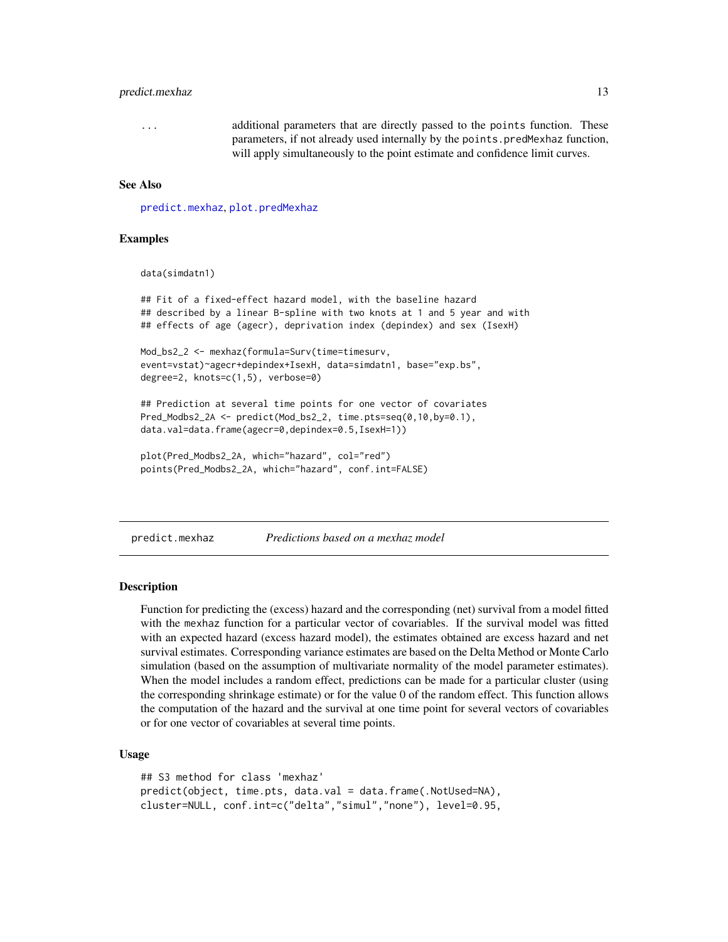#### <span id="page-12-0"></span>predict.mexhaz 13

... additional parameters that are directly passed to the points function. These parameters, if not already used internally by the points.predMexhaz function, will apply simultaneously to the point estimate and confidence limit curves.

#### See Also

[predict.mexhaz](#page-12-1), [plot.predMexhaz](#page-10-1)

#### Examples

data(simdatn1)

## Fit of a fixed-effect hazard model, with the baseline hazard ## described by a linear B-spline with two knots at 1 and 5 year and with ## effects of age (agecr), deprivation index (depindex) and sex (IsexH)

```
Mod_bs2_2 <- mexhaz(formula=Surv(time=timesurv,
event=vstat)~agecr+depindex+IsexH, data=simdatn1, base="exp.bs",
degree=2, knots=c(1,5), verbose=0)
```
## Prediction at several time points for one vector of covariates Pred\_Modbs2\_2A <- predict(Mod\_bs2\_2, time.pts=seq(0,10,by=0.1), data.val=data.frame(agecr=0,depindex=0.5,IsexH=1))

```
plot(Pred_Modbs2_2A, which="hazard", col="red")
points(Pred_Modbs2_2A, which="hazard", conf.int=FALSE)
```
<span id="page-12-1"></span>predict.mexhaz *Predictions based on a mexhaz model*

#### **Description**

Function for predicting the (excess) hazard and the corresponding (net) survival from a model fitted with the mexhaz function for a particular vector of covariables. If the survival model was fitted with an expected hazard (excess hazard model), the estimates obtained are excess hazard and net survival estimates. Corresponding variance estimates are based on the Delta Method or Monte Carlo simulation (based on the assumption of multivariate normality of the model parameter estimates). When the model includes a random effect, predictions can be made for a particular cluster (using the corresponding shrinkage estimate) or for the value 0 of the random effect. This function allows the computation of the hazard and the survival at one time point for several vectors of covariables or for one vector of covariables at several time points.

#### Usage

```
## S3 method for class 'mexhaz'
predict(object, time.pts, data.val = data.frame(.NotUsed=NA),
cluster=NULL, conf.int=c("delta","simul","none"), level=0.95,
```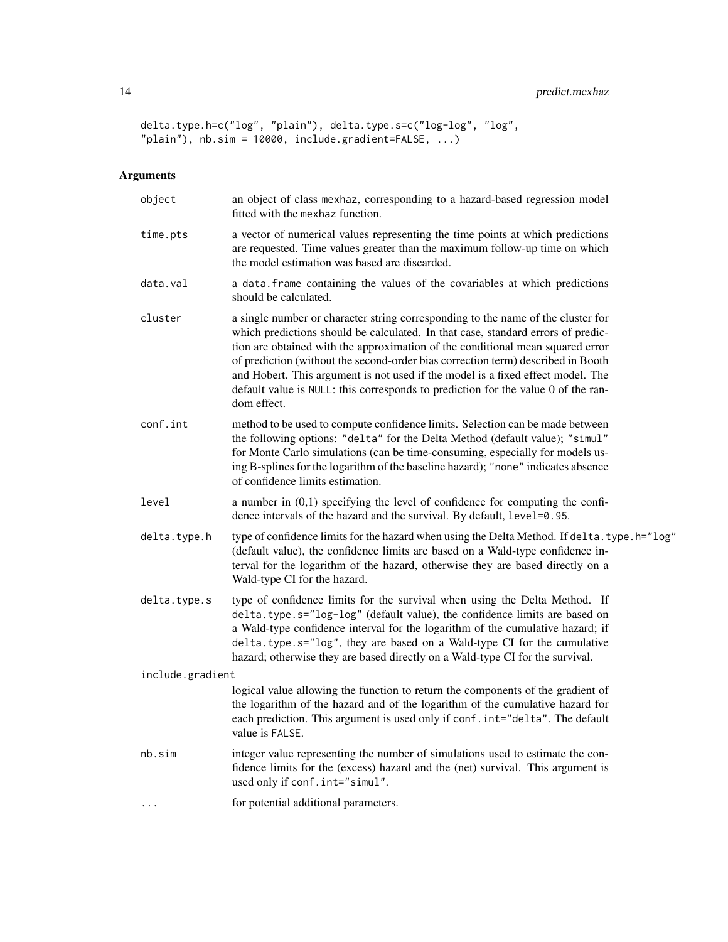```
delta.type.h=c("log", "plain"), delta.type.s=c("log-log", "log",
"plain"), nb.sim = 10000, include.gradient=FALSE, ...)
```
# Arguments

| object           | an object of class mexhaz, corresponding to a hazard-based regression model<br>fitted with the mexhaz function.                                                                                                                                                                                                                                                                                                                                                                                                                   |
|------------------|-----------------------------------------------------------------------------------------------------------------------------------------------------------------------------------------------------------------------------------------------------------------------------------------------------------------------------------------------------------------------------------------------------------------------------------------------------------------------------------------------------------------------------------|
| time.pts         | a vector of numerical values representing the time points at which predictions<br>are requested. Time values greater than the maximum follow-up time on which<br>the model estimation was based are discarded.                                                                                                                                                                                                                                                                                                                    |
| data.val         | a data. frame containing the values of the covariables at which predictions<br>should be calculated.                                                                                                                                                                                                                                                                                                                                                                                                                              |
| cluster          | a single number or character string corresponding to the name of the cluster for<br>which predictions should be calculated. In that case, standard errors of predic-<br>tion are obtained with the approximation of the conditional mean squared error<br>of prediction (without the second-order bias correction term) described in Booth<br>and Hobert. This argument is not used if the model is a fixed effect model. The<br>default value is NULL: this corresponds to prediction for the value 0 of the ran-<br>dom effect. |
| conf.int         | method to be used to compute confidence limits. Selection can be made between<br>the following options: "delta" for the Delta Method (default value); "simul"<br>for Monte Carlo simulations (can be time-consuming, especially for models us-<br>ing B-splines for the logarithm of the baseline hazard); "none" indicates absence<br>of confidence limits estimation.                                                                                                                                                           |
| level            | a number in $(0,1)$ specifying the level of confidence for computing the confi-<br>dence intervals of the hazard and the survival. By default, level=0.95.                                                                                                                                                                                                                                                                                                                                                                        |
| delta.type.h     | type of confidence limits for the hazard when using the Delta Method. If delta. type. h="log"<br>(default value), the confidence limits are based on a Wald-type confidence in-<br>terval for the logarithm of the hazard, otherwise they are based directly on a<br>Wald-type CI for the hazard.                                                                                                                                                                                                                                 |
| delta.type.s     | type of confidence limits for the survival when using the Delta Method. If<br>delta.type.s="log-log" (default value), the confidence limits are based on<br>a Wald-type confidence interval for the logarithm of the cumulative hazard; if<br>delta.type.s="log", they are based on a Wald-type CI for the cumulative<br>hazard; otherwise they are based directly on a Wald-type CI for the survival.                                                                                                                            |
| include.gradient |                                                                                                                                                                                                                                                                                                                                                                                                                                                                                                                                   |
|                  | logical value allowing the function to return the components of the gradient of<br>the logarithm of the hazard and of the logarithm of the cumulative hazard for<br>each prediction. This argument is used only if conf.int="delta". The default<br>value is FALSE.                                                                                                                                                                                                                                                               |
| nb.sim           | integer value representing the number of simulations used to estimate the con-<br>fidence limits for the (excess) hazard and the (net) survival. This argument is<br>used only if conf.int="simul".                                                                                                                                                                                                                                                                                                                               |
| .                | for potential additional parameters.                                                                                                                                                                                                                                                                                                                                                                                                                                                                                              |
|                  |                                                                                                                                                                                                                                                                                                                                                                                                                                                                                                                                   |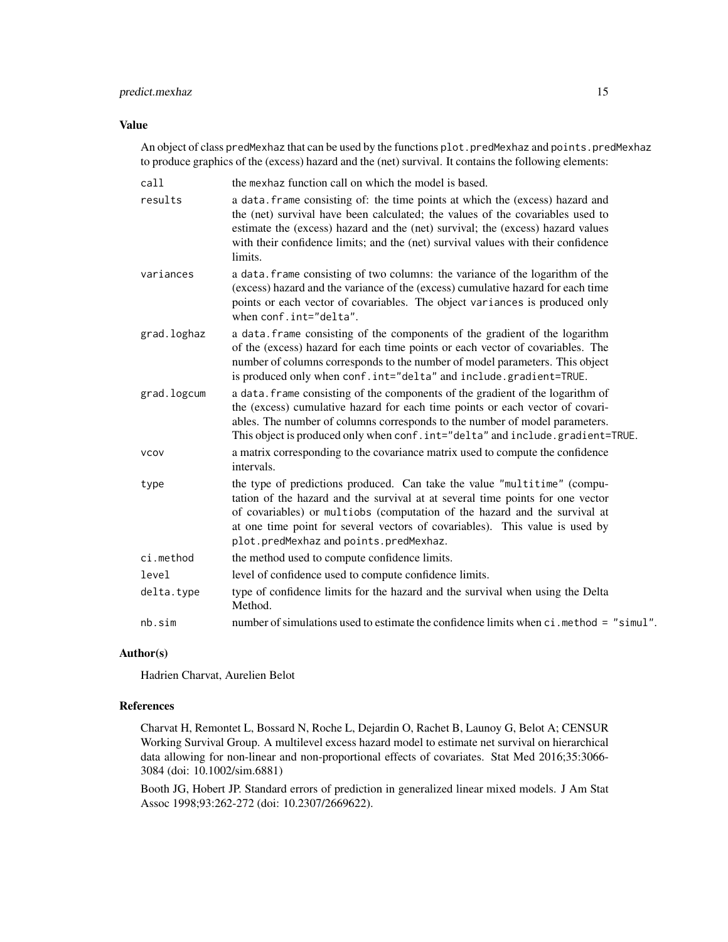# predict.mexhaz 15

# Value

An object of class predMexhaz that can be used by the functions plot.predMexhaz and points.predMexhaz to produce graphics of the (excess) hazard and the (net) survival. It contains the following elements:

| call        | the mexhaz function call on which the model is based.                                                                                                                                                                                                                                                                                                              |
|-------------|--------------------------------------------------------------------------------------------------------------------------------------------------------------------------------------------------------------------------------------------------------------------------------------------------------------------------------------------------------------------|
| results     | a data. frame consisting of: the time points at which the (excess) hazard and<br>the (net) survival have been calculated; the values of the covariables used to<br>estimate the (excess) hazard and the (net) survival; the (excess) hazard values<br>with their confidence limits; and the (net) survival values with their confidence<br>limits.                 |
| variances   | a data. frame consisting of two columns: the variance of the logarithm of the<br>(excess) hazard and the variance of the (excess) cumulative hazard for each time<br>points or each vector of covariables. The object variances is produced only<br>when conf.int="delta".                                                                                         |
| grad.loghaz | a data. frame consisting of the components of the gradient of the logarithm<br>of the (excess) hazard for each time points or each vector of covariables. The<br>number of columns corresponds to the number of model parameters. This object<br>is produced only when conf.int="delta" and include.gradient=TRUE.                                                 |
| grad.logcum | a data. frame consisting of the components of the gradient of the logarithm of<br>the (excess) cumulative hazard for each time points or each vector of covari-<br>ables. The number of columns corresponds to the number of model parameters.<br>This object is produced only when conf.int="delta" and include.gradient=TRUE.                                    |
| <b>VCOV</b> | a matrix corresponding to the covariance matrix used to compute the confidence<br>intervals.                                                                                                                                                                                                                                                                       |
| type        | the type of predictions produced. Can take the value "multitime" (compu-<br>tation of the hazard and the survival at at several time points for one vector<br>of covariables) or multiobs (computation of the hazard and the survival at<br>at one time point for several vectors of covariables). This value is used by<br>plot.predMexhaz and points.predMexhaz. |
| ci.method   | the method used to compute confidence limits.                                                                                                                                                                                                                                                                                                                      |
| level       | level of confidence used to compute confidence limits.                                                                                                                                                                                                                                                                                                             |
| delta.type  | type of confidence limits for the hazard and the survival when using the Delta<br>Method.                                                                                                                                                                                                                                                                          |
| nb.sim      | number of simulations used to estimate the confidence limits when ci. method = "simul".                                                                                                                                                                                                                                                                            |

# Author(s)

Hadrien Charvat, Aurelien Belot

# References

Charvat H, Remontet L, Bossard N, Roche L, Dejardin O, Rachet B, Launoy G, Belot A; CENSUR Working Survival Group. A multilevel excess hazard model to estimate net survival on hierarchical data allowing for non-linear and non-proportional effects of covariates. Stat Med 2016;35:3066- 3084 (doi: 10.1002/sim.6881)

Booth JG, Hobert JP. Standard errors of prediction in generalized linear mixed models. J Am Stat Assoc 1998;93:262-272 (doi: 10.2307/2669622).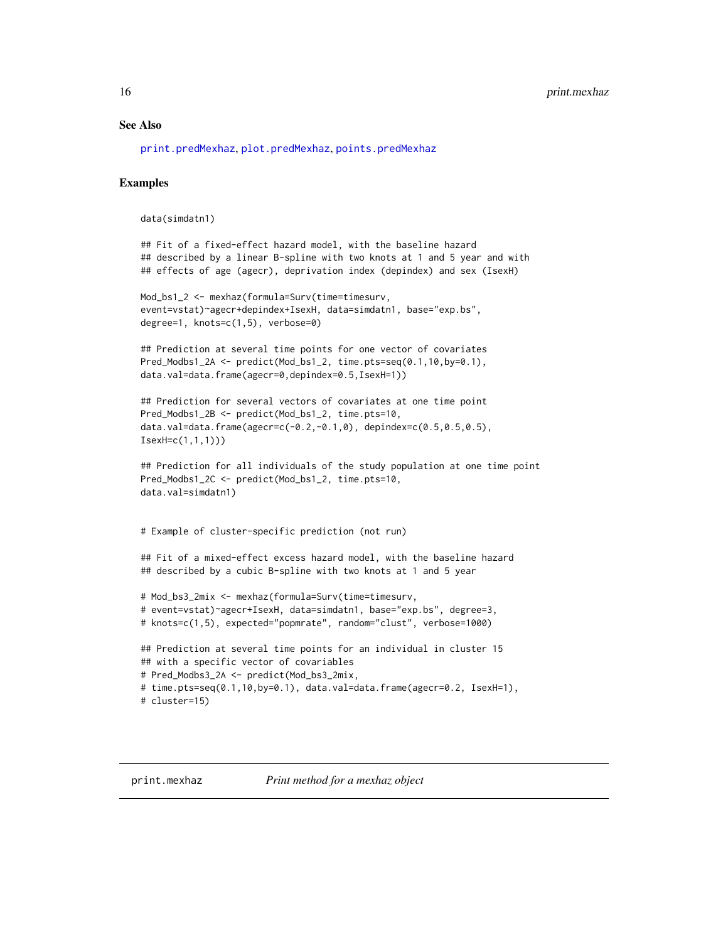#### <span id="page-15-0"></span>See Also

[print.predMexhaz](#page-16-1), [plot.predMexhaz](#page-10-1), [points.predMexhaz](#page-11-1)

#### Examples

data(simdatn1)

```
## Fit of a fixed-effect hazard model, with the baseline hazard
## described by a linear B-spline with two knots at 1 and 5 year and with
## effects of age (agecr), deprivation index (depindex) and sex (IsexH)
```

```
Mod_bs1_2 <- mexhaz(formula=Surv(time=timesurv,
event=vstat)~agecr+depindex+IsexH, data=simdatn1, base="exp.bs",
degree=1, knots=c(1,5), verbose=0)
```

```
## Prediction at several time points for one vector of covariates
Pred_Modbs1_2A <- predict(Mod_bs1_2, time.pts=seq(0.1,10,by=0.1),
data.val=data.frame(agecr=0,depindex=0.5,IsexH=1))
```

```
## Prediction for several vectors of covariates at one time point
Pred_Modbs1_2B <- predict(Mod_bs1_2, time.pts=10,
data.val=data.frame(agecr=c(-0.2,-0.1,0), depindex=c(0.5,0.5,0.5),
IsexH=c(1,1,1)))
```

```
## Prediction for all individuals of the study population at one time point
Pred_Modbs1_2C <- predict(Mod_bs1_2, time.pts=10,
data.val=simdatn1)
```
# Example of cluster-specific prediction (not run)

```
## Fit of a mixed-effect excess hazard model, with the baseline hazard
## described by a cubic B-spline with two knots at 1 and 5 year
```

```
# Mod_bs3_2mix <- mexhaz(formula=Surv(time=timesurv,
# event=vstat)~agecr+IsexH, data=simdatn1, base="exp.bs", degree=3,
# knots=c(1,5), expected="popmrate", random="clust", verbose=1000)
```

```
## Prediction at several time points for an individual in cluster 15
## with a specific vector of covariables
# Pred_Modbs3_2A <- predict(Mod_bs3_2mix,
# time.pts=seq(0.1,10,by=0.1), data.val=data.frame(agecr=0.2, IsexH=1),
# cluster=15)
```
<span id="page-15-1"></span>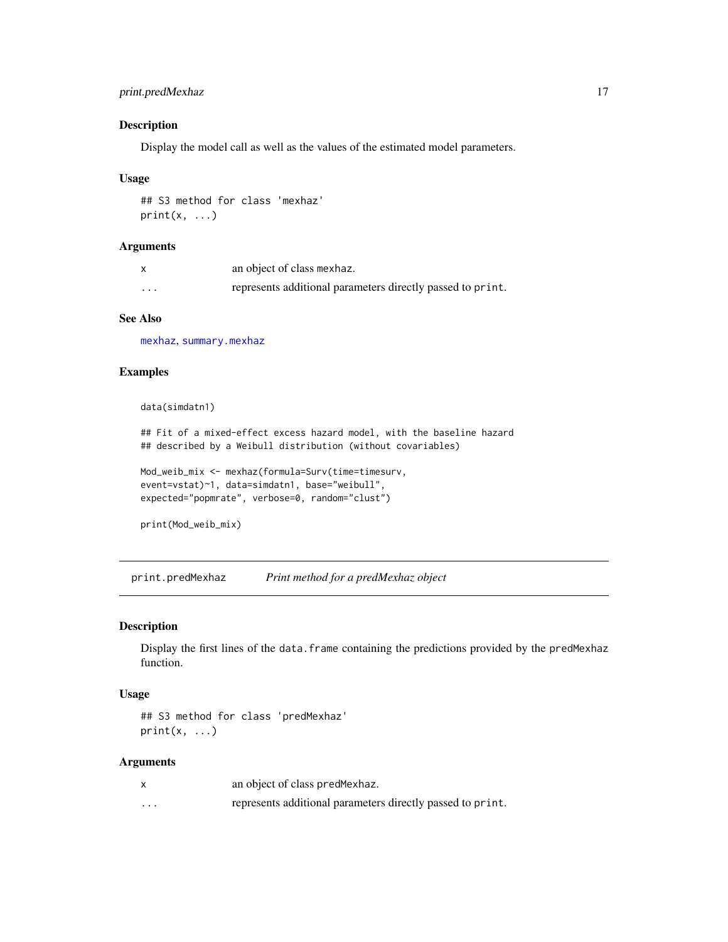# <span id="page-16-0"></span>print.predMexhaz 17

# Description

Display the model call as well as the values of the estimated model parameters.

#### Usage

## S3 method for class 'mexhaz'  $print(x, \ldots)$ 

#### Arguments

|          | an object of class mexhaz.                                 |
|----------|------------------------------------------------------------|
| $\cdots$ | represents additional parameters directly passed to print. |

## See Also

[mexhaz](#page-5-1), [summary.mexhaz](#page-21-1)

# Examples

data(simdatn1)

## Fit of a mixed-effect excess hazard model, with the baseline hazard ## described by a Weibull distribution (without covariables)

Mod\_weib\_mix <- mexhaz(formula=Surv(time=timesurv, event=vstat)~1, data=simdatn1, base="weibull", expected="popmrate", verbose=0, random="clust")

```
print(Mod_weib_mix)
```
<span id="page-16-1"></span>print.predMexhaz *Print method for a predMexhaz object*

#### Description

Display the first lines of the data.frame containing the predictions provided by the predMexhaz function.

#### Usage

```
## S3 method for class 'predMexhaz'
print(x, \ldots)
```
#### Arguments

|          | an object of class predMexhaz.                             |
|----------|------------------------------------------------------------|
| $\cdots$ | represents additional parameters directly passed to print. |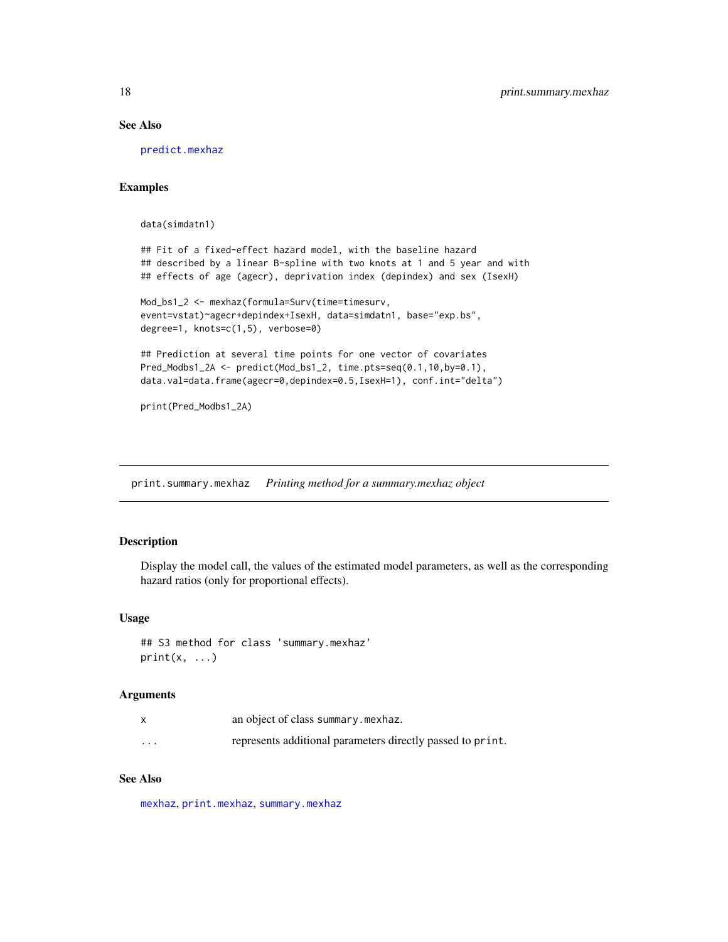# See Also

[predict.mexhaz](#page-12-1)

# Examples

data(simdatn1)

```
## Fit of a fixed-effect hazard model, with the baseline hazard
## described by a linear B-spline with two knots at 1 and 5 year and with
## effects of age (agecr), deprivation index (depindex) and sex (IsexH)
```

```
Mod_bs1_2 <- mexhaz(formula=Surv(time=timesurv,
event=vstat)~agecr+depindex+IsexH, data=simdatn1, base="exp.bs",
degree=1, knots=c(1,5), verbose=0)
```

```
## Prediction at several time points for one vector of covariates
Pred_Modbs1_2A <- predict(Mod_bs1_2, time.pts=seq(0.1,10,by=0.1),
data.val=data.frame(agecr=0,depindex=0.5,IsexH=1), conf.int="delta")
```
print(Pred\_Modbs1\_2A)

<span id="page-17-1"></span>print.summary.mexhaz *Printing method for a summary.mexhaz object*

#### Description

Display the model call, the values of the estimated model parameters, as well as the corresponding hazard ratios (only for proportional effects).

#### Usage

## S3 method for class 'summary.mexhaz'  $print(x, \ldots)$ 

### **Arguments**

|         | an object of class summary.mexhaz.                         |
|---------|------------------------------------------------------------|
| $\cdot$ | represents additional parameters directly passed to print. |

# See Also

[mexhaz](#page-5-1), [print.mexhaz](#page-15-1), [summary.mexhaz](#page-21-1)

<span id="page-17-0"></span>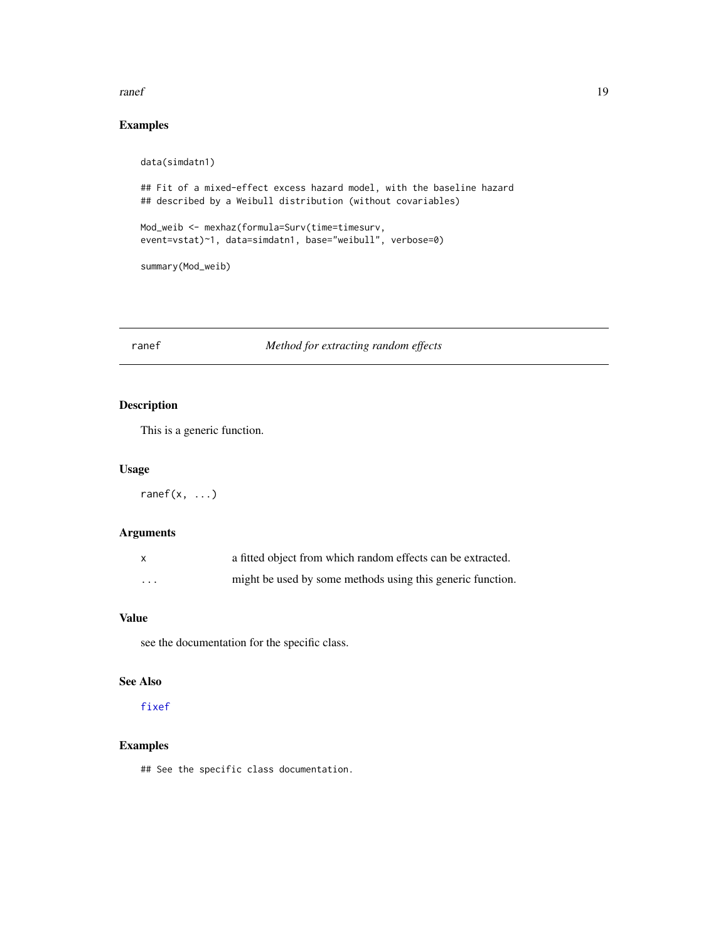#### <span id="page-18-0"></span>ranef and the contract of the contract of the contract of the contract of the contract of the contract of the contract of the contract of the contract of the contract of the contract of the contract of the contract of the

# Examples

```
data(simdatn1)
## Fit of a mixed-effect excess hazard model, with the baseline hazard
## described by a Weibull distribution (without covariables)
Mod_weib <- mexhaz(formula=Surv(time=timesurv,
event=vstat)~1, data=simdatn1, base="weibull", verbose=0)
summary(Mod_weib)
```
# <span id="page-18-1"></span>ranef *Method for extracting random effects*

# Description

This is a generic function.

# Usage

ranef $(x, \ldots)$ 

#### Arguments

| $\mathsf{x}$ | a fitted object from which random effects can be extracted. |
|--------------|-------------------------------------------------------------|
| .            | might be used by some methods using this generic function.  |

# Value

see the documentation for the specific class.

# See Also

[fixef](#page-3-1)

# Examples

## See the specific class documentation.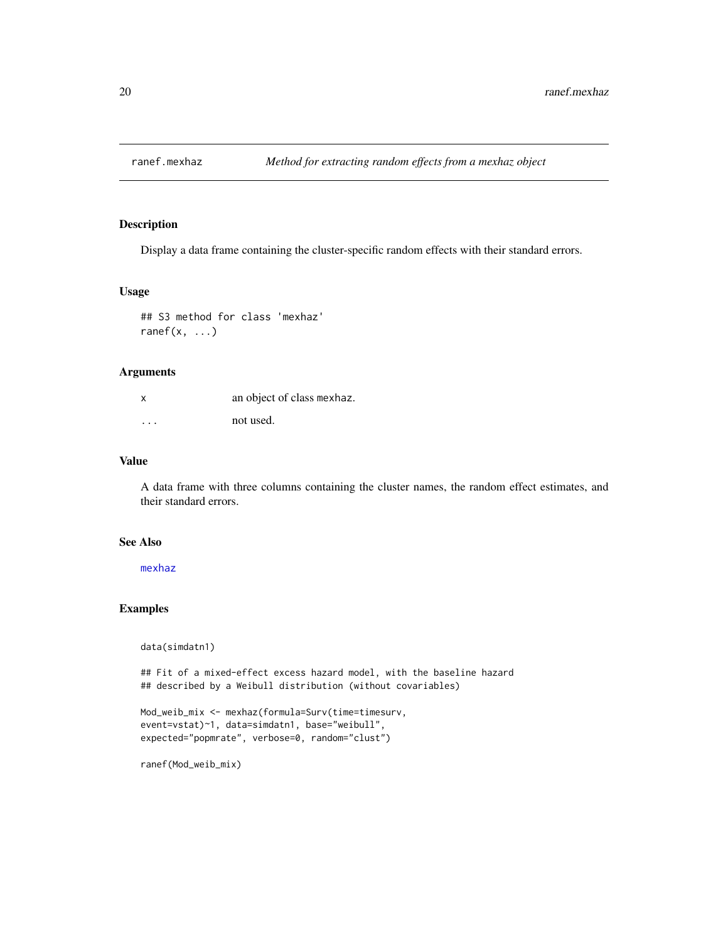<span id="page-19-1"></span><span id="page-19-0"></span>

Display a data frame containing the cluster-specific random effects with their standard errors.

#### Usage

```
## S3 method for class 'mexhaz'
ranef(x, \ldots)
```
# Arguments

| $\mathsf{X}$            | an object of class mexhaz. |
|-------------------------|----------------------------|
| $\cdot$ $\cdot$ $\cdot$ | not used.                  |

# Value

A data frame with three columns containing the cluster names, the random effect estimates, and their standard errors.

# See Also

[mexhaz](#page-5-1)

# Examples

data(simdatn1)

## Fit of a mixed-effect excess hazard model, with the baseline hazard ## described by a Weibull distribution (without covariables)

```
Mod_weib_mix <- mexhaz(formula=Surv(time=timesurv,
event=vstat)~1, data=simdatn1, base="weibull",
expected="popmrate", verbose=0, random="clust")
```
ranef(Mod\_weib\_mix)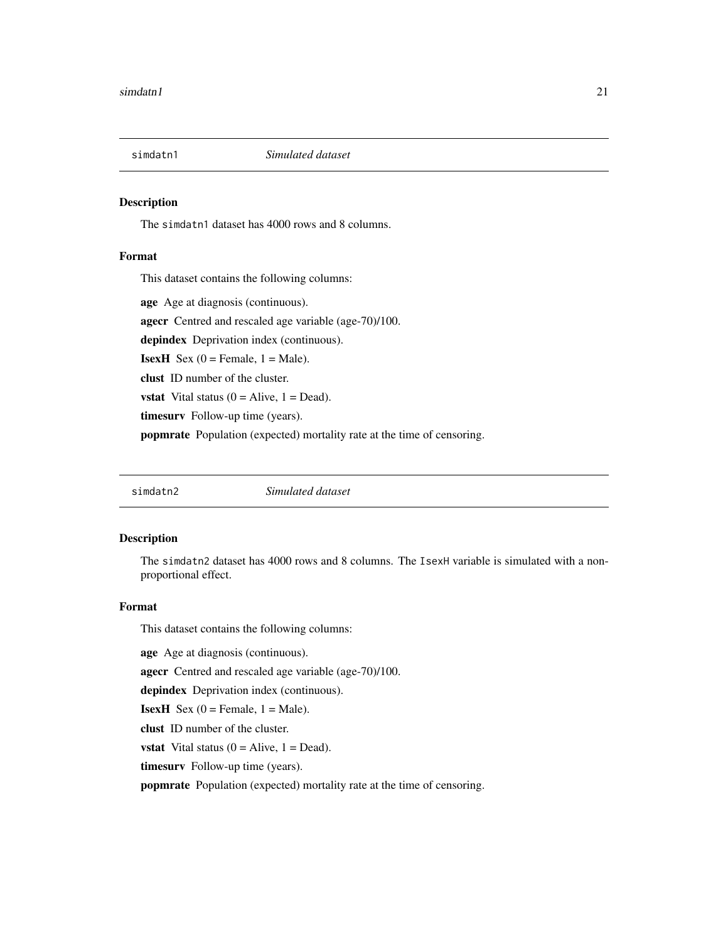<span id="page-20-0"></span>

The simdatn1 dataset has 4000 rows and 8 columns.

# Format

This dataset contains the following columns:

age Age at diagnosis (continuous). agecr Centred and rescaled age variable (age-70)/100. depindex Deprivation index (continuous). **IsexH** Sex  $(0 =$  Female,  $1 =$  Male). clust ID number of the cluster. **vstat** Vital status  $(0 = \text{Alive}, 1 = \text{Dead})$ . timesurv Follow-up time (years). popmrate Population (expected) mortality rate at the time of censoring.

simdatn2 *Simulated dataset*

# Description

The simdatn2 dataset has 4000 rows and 8 columns. The IsexH variable is simulated with a nonproportional effect.

#### Format

This dataset contains the following columns:

age Age at diagnosis (continuous).

agecr Centred and rescaled age variable (age-70)/100.

depindex Deprivation index (continuous).

**IsexH** Sex  $(0 =$  Female,  $1 =$  Male).

clust ID number of the cluster.

**vstat** Vital status  $(0 = \text{Alive}, 1 = \text{Dead})$ .

timesurv Follow-up time (years).

popmrate Population (expected) mortality rate at the time of censoring.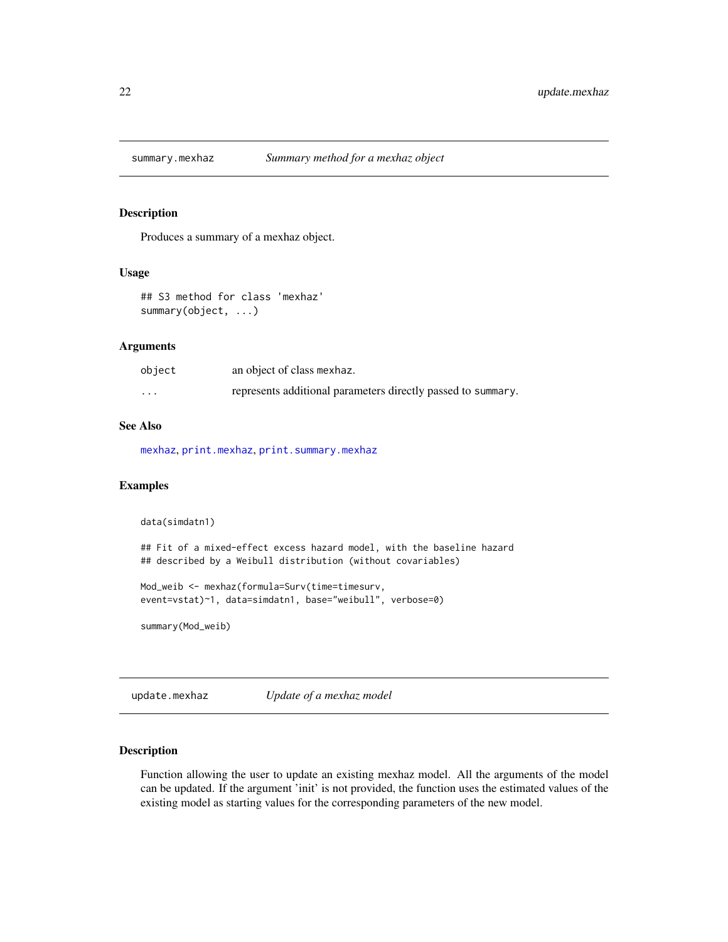<span id="page-21-1"></span><span id="page-21-0"></span>

Produces a summary of a mexhaz object.

#### Usage

## S3 method for class 'mexhaz' summary(object, ...)

# Arguments

| object   | an object of class mexhaz.                                   |
|----------|--------------------------------------------------------------|
| $\cdots$ | represents additional parameters directly passed to summary. |

# See Also

[mexhaz](#page-5-1), [print.mexhaz](#page-15-1), [print.summary.mexhaz](#page-17-1)

#### Examples

```
data(simdatn1)
## Fit of a mixed-effect excess hazard model, with the baseline hazard
## described by a Weibull distribution (without covariables)
Mod_weib <- mexhaz(formula=Surv(time=timesurv,
event=vstat)~1, data=simdatn1, base="weibull", verbose=0)
summary(Mod_weib)
```
<span id="page-21-2"></span>update.mexhaz *Update of a mexhaz model*

#### Description

Function allowing the user to update an existing mexhaz model. All the arguments of the model can be updated. If the argument 'init' is not provided, the function uses the estimated values of the existing model as starting values for the corresponding parameters of the new model.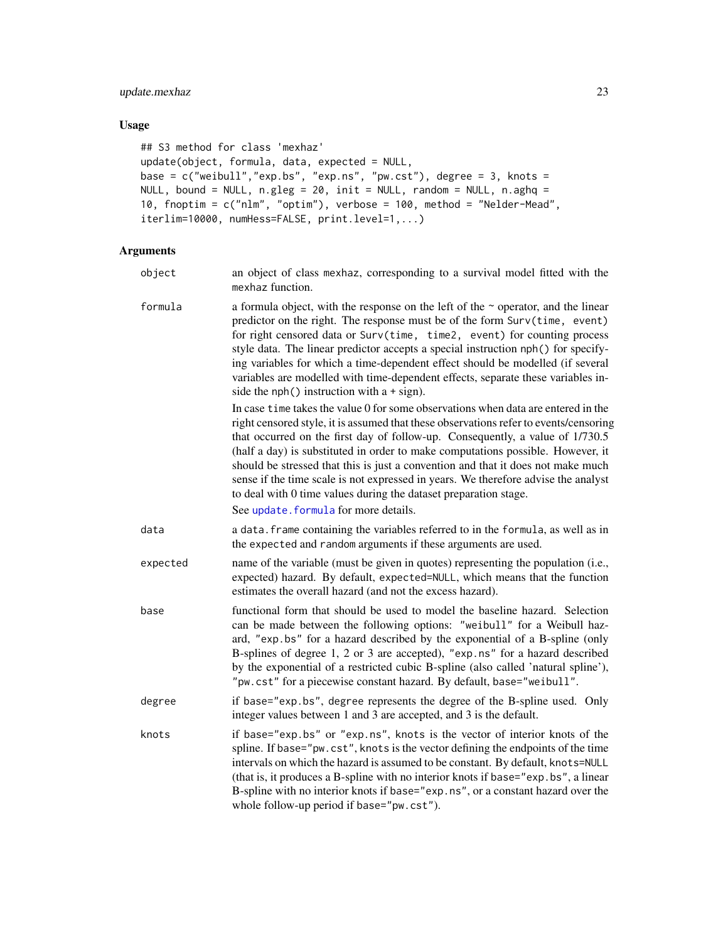# <span id="page-22-0"></span>update.mexhaz 23

# Usage

```
## S3 method for class 'mexhaz'
update(object, formula, data, expected = NULL,
base = c("weibull","exp.bs", "exp.ns", "pw.cst"), degree = 3, knots =
NULL, bound = NULL, n.gleg = 20, init = NULL, random = NULL, n.ghq =10, fnoptim = c("nlm", "optim"), verbose = 100, method = "Nelder-Mead",
iterlim=10000, numHess=FALSE, print.level=1,...)
```
# Arguments

object an object of class mexhaz, corresponding to a survival model fitted with the mexhaz function.

| formula  | a formula object, with the response on the left of the $\sim$ operator, and the linear<br>predictor on the right. The response must be of the form Surv(time, event)<br>for right censored data or Surv(time, time2, event) for counting process<br>style data. The linear predictor accepts a special instruction nph() for specify-<br>ing variables for which a time-dependent effect should be modelled (if several<br>variables are modelled with time-dependent effects, separate these variables in-<br>side the $nph()$ instruction with $a + sign)$ .                                                                        |
|----------|---------------------------------------------------------------------------------------------------------------------------------------------------------------------------------------------------------------------------------------------------------------------------------------------------------------------------------------------------------------------------------------------------------------------------------------------------------------------------------------------------------------------------------------------------------------------------------------------------------------------------------------|
|          | In case time takes the value 0 for some observations when data are entered in the<br>right censored style, it is assumed that these observations refer to events/censoring<br>that occurred on the first day of follow-up. Consequently, a value of 1/730.5<br>(half a day) is substituted in order to make computations possible. However, it<br>should be stressed that this is just a convention and that it does not make much<br>sense if the time scale is not expressed in years. We therefore advise the analyst<br>to deal with 0 time values during the dataset preparation stage.<br>See update. formula for more details. |
| data     | a data. frame containing the variables referred to in the formula, as well as in<br>the expected and random arguments if these arguments are used.                                                                                                                                                                                                                                                                                                                                                                                                                                                                                    |
| expected | name of the variable (must be given in quotes) representing the population (i.e.,<br>expected) hazard. By default, expected=NULL, which means that the function<br>estimates the overall hazard (and not the excess hazard).                                                                                                                                                                                                                                                                                                                                                                                                          |
| base     | functional form that should be used to model the baseline hazard. Selection<br>can be made between the following options: "weibull" for a Weibull haz-<br>ard, "exp.bs" for a hazard described by the exponential of a B-spline (only<br>B-splines of degree 1, 2 or 3 are accepted), "exp.ns" for a hazard described<br>by the exponential of a restricted cubic B-spline (also called 'natural spline'),<br>"pw.cst" for a piecewise constant hazard. By default, base="weibull".                                                                                                                                                   |
| degree   | if base="exp.bs", degree represents the degree of the B-spline used. Only<br>integer values between 1 and 3 are accepted, and 3 is the default.                                                                                                                                                                                                                                                                                                                                                                                                                                                                                       |
| knots    | if base="exp.bs" or "exp.ns", knots is the vector of interior knots of the<br>spline. If base="pw.cst", knots is the vector defining the endpoints of the time<br>intervals on which the hazard is assumed to be constant. By default, knots=NULL<br>(that is, it produces a B-spline with no interior knots if base="exp.bs", a linear<br>B-spline with no interior knots if base="exp.ns", or a constant hazard over the<br>whole follow-up period if base="pw.cst").                                                                                                                                                               |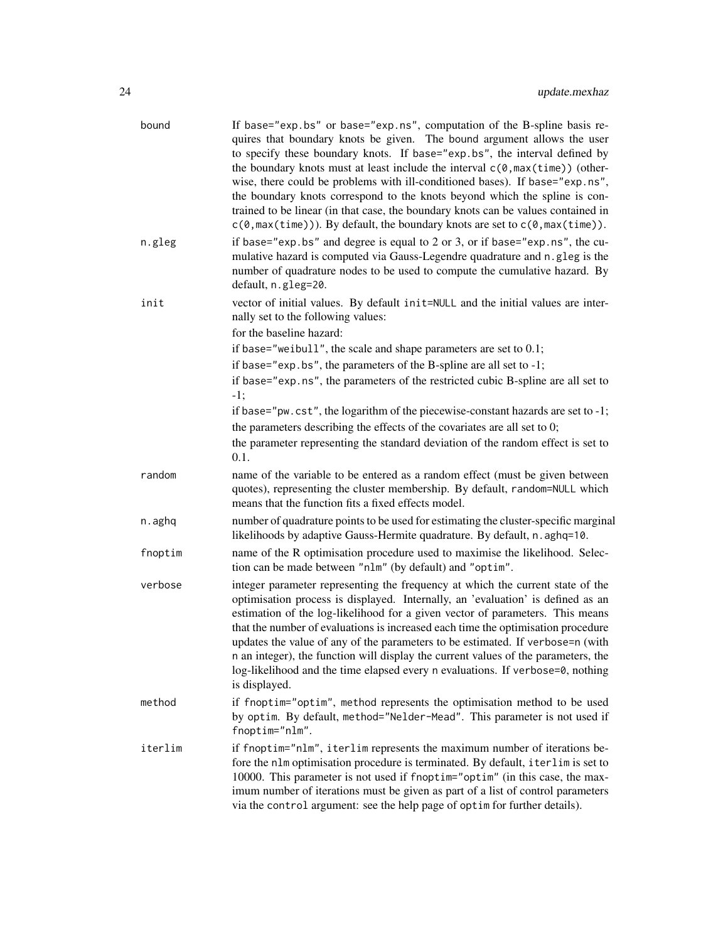| bound   | If base="exp.bs" or base="exp.ns", computation of the B-spline basis re-<br>quires that boundary knots be given. The bound argument allows the user<br>to specify these boundary knots. If base="exp.bs", the interval defined by<br>the boundary knots must at least include the interval $c(\theta, \max(\text{time}))$ (other-<br>wise, there could be problems with ill-conditioned bases). If base="exp.ns",<br>the boundary knots correspond to the knots beyond which the spline is con-<br>trained to be linear (in that case, the boundary knots can be values contained in<br>$c(\theta, \max(\text{time}))$ . By default, the boundary knots are set to $c(\theta, \max(\text{time}))$ . |
|---------|-----------------------------------------------------------------------------------------------------------------------------------------------------------------------------------------------------------------------------------------------------------------------------------------------------------------------------------------------------------------------------------------------------------------------------------------------------------------------------------------------------------------------------------------------------------------------------------------------------------------------------------------------------------------------------------------------------|
| n.gleg  | if base="exp.bs" and degree is equal to 2 or 3, or if base="exp.ns", the cu-<br>mulative hazard is computed via Gauss-Legendre quadrature and n.gleg is the<br>number of quadrature nodes to be used to compute the cumulative hazard. By<br>default, n.gleg=20.                                                                                                                                                                                                                                                                                                                                                                                                                                    |
| init    | vector of initial values. By default init=NULL and the initial values are inter-<br>nally set to the following values:<br>for the baseline hazard:<br>if base="weibull", the scale and shape parameters are set to $0.1$ ;<br>if base="exp. bs", the parameters of the B-spline are all set to $-1$ ;<br>if base="exp.ns", the parameters of the restricted cubic B-spline are all set to<br>$-1;$<br>if base="pw.cst", the logarithm of the piecewise-constant hazards are set to -1;<br>the parameters describing the effects of the covariates are all set to 0;<br>the parameter representing the standard deviation of the random effect is set to<br>0.1.                                     |
| random  | name of the variable to be entered as a random effect (must be given between<br>quotes), representing the cluster membership. By default, random=NULL which<br>means that the function fits a fixed effects model.                                                                                                                                                                                                                                                                                                                                                                                                                                                                                  |
| n.aghq  | number of quadrature points to be used for estimating the cluster-specific marginal<br>likelihoods by adaptive Gauss-Hermite quadrature. By default, n. aghq=10.                                                                                                                                                                                                                                                                                                                                                                                                                                                                                                                                    |
| fnoptim | name of the R optimisation procedure used to maximise the likelihood. Selec-<br>tion can be made between "nlm" (by default) and "optim".                                                                                                                                                                                                                                                                                                                                                                                                                                                                                                                                                            |
| verbose | integer parameter representing the frequency at which the current state of the<br>optimisation process is displayed. Internally, an 'evaluation' is defined as an<br>estimation of the log-likelihood for a given vector of parameters. This means<br>that the number of evaluations is increased each time the optimisation procedure<br>updates the value of any of the parameters to be estimated. If verbose=n (with<br>n an integer), the function will display the current values of the parameters, the<br>log-likelihood and the time elapsed every n evaluations. If verbose=0, nothing<br>is displayed.                                                                                   |
| method  | if fnoptim="optim", method represents the optimisation method to be used<br>by optim. By default, method="Nelder-Mead". This parameter is not used if<br>fnoptim="nlm".                                                                                                                                                                                                                                                                                                                                                                                                                                                                                                                             |
| iterlim | if fnoptim="nlm", iterlim represents the maximum number of iterations be-<br>fore the nlm optimisation procedure is terminated. By default, iterlim is set to<br>10000. This parameter is not used if fnoptim="optim" (in this case, the max-<br>imum number of iterations must be given as part of a list of control parameters<br>via the control argument: see the help page of optim for further details).                                                                                                                                                                                                                                                                                      |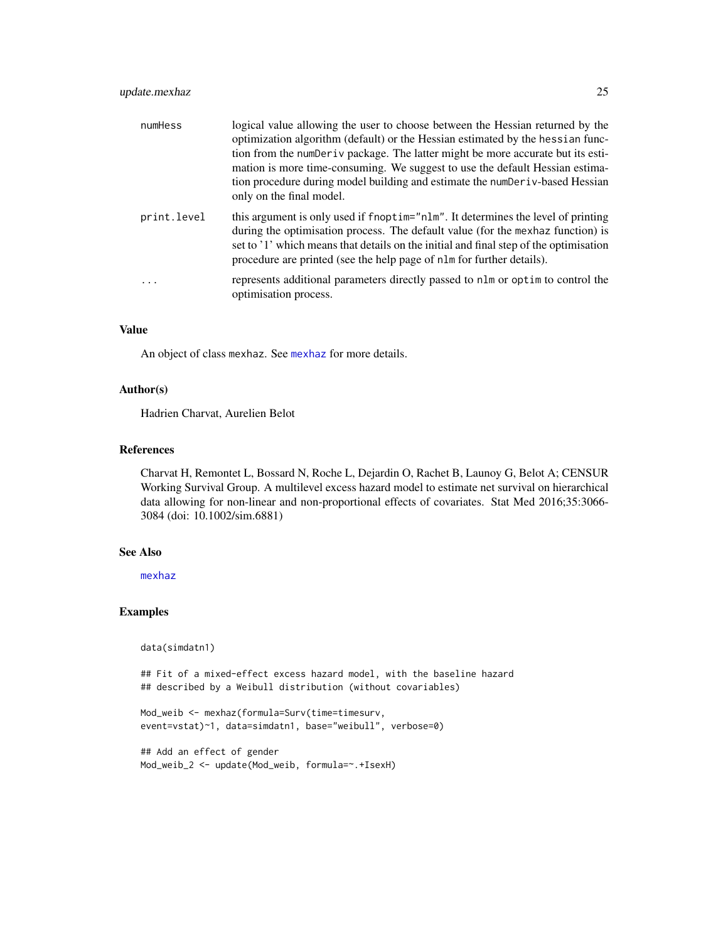# <span id="page-24-0"></span>update.mexhaz 25

| numHess     | logical value allowing the user to choose between the Hessian returned by the<br>optimization algorithm (default) or the Hessian estimated by the hessian func-<br>tion from the numDeriv package. The latter might be more accurate but its esti-<br>mation is more time-consuming. We suggest to use the default Hessian estima-<br>tion procedure during model building and estimate the numDer iv-based Hessian<br>only on the final model. |
|-------------|-------------------------------------------------------------------------------------------------------------------------------------------------------------------------------------------------------------------------------------------------------------------------------------------------------------------------------------------------------------------------------------------------------------------------------------------------|
| print.level | this argument is only used if fnoptim="nlm". It determines the level of printing<br>during the optimisation process. The default value (for the mexhaz function) is<br>set to '1' which means that details on the initial and final step of the optimisation<br>procedure are printed (see the help page of nlm for further details).                                                                                                           |
| .           | represents additional parameters directly passed to nlm or optim to control the<br>optimisation process.                                                                                                                                                                                                                                                                                                                                        |

#### Value

An object of class mexhaz. See [mexhaz](#page-5-1) for more details.

#### Author(s)

Hadrien Charvat, Aurelien Belot

#### References

Charvat H, Remontet L, Bossard N, Roche L, Dejardin O, Rachet B, Launoy G, Belot A; CENSUR Working Survival Group. A multilevel excess hazard model to estimate net survival on hierarchical data allowing for non-linear and non-proportional effects of covariates. Stat Med 2016;35:3066- 3084 (doi: 10.1002/sim.6881)

#### See Also

[mexhaz](#page-5-1)

#### Examples

data(simdatn1)

## Fit of a mixed-effect excess hazard model, with the baseline hazard ## described by a Weibull distribution (without covariables)

```
Mod_weib <- mexhaz(formula=Surv(time=timesurv,
event=vstat)~1, data=simdatn1, base="weibull", verbose=0)
```

```
## Add an effect of gender
Mod_weib_2 <- update(Mod_weib, formula=~.+IsexH)
```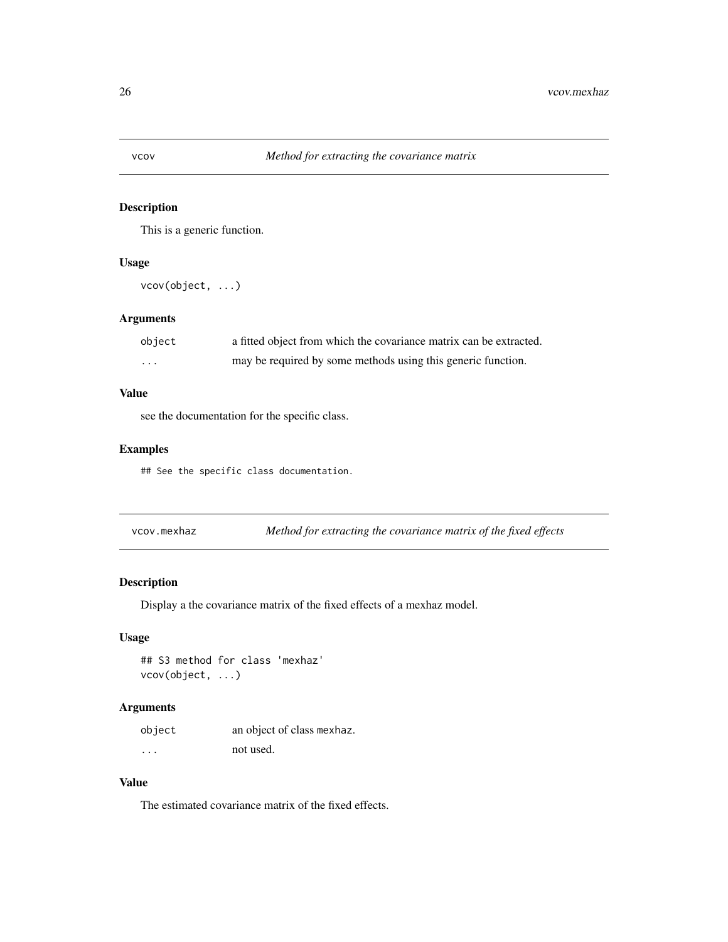<span id="page-25-0"></span>

This is a generic function.

# Usage

vcov(object, ...)

# Arguments

| object | a fitted object from which the covariance matrix can be extracted. |
|--------|--------------------------------------------------------------------|
| .      | may be required by some methods using this generic function.       |

# Value

see the documentation for the specific class.

# Examples

## See the specific class documentation.

<span id="page-25-1"></span>vcov.mexhaz *Method for extracting the covariance matrix of the fixed effects*

# Description

Display a the covariance matrix of the fixed effects of a mexhaz model.

# Usage

## S3 method for class 'mexhaz' vcov(object, ...)

# Arguments

| object   | an object of class mexhaz. |
|----------|----------------------------|
| $\cdots$ | not used.                  |

# Value

The estimated covariance matrix of the fixed effects.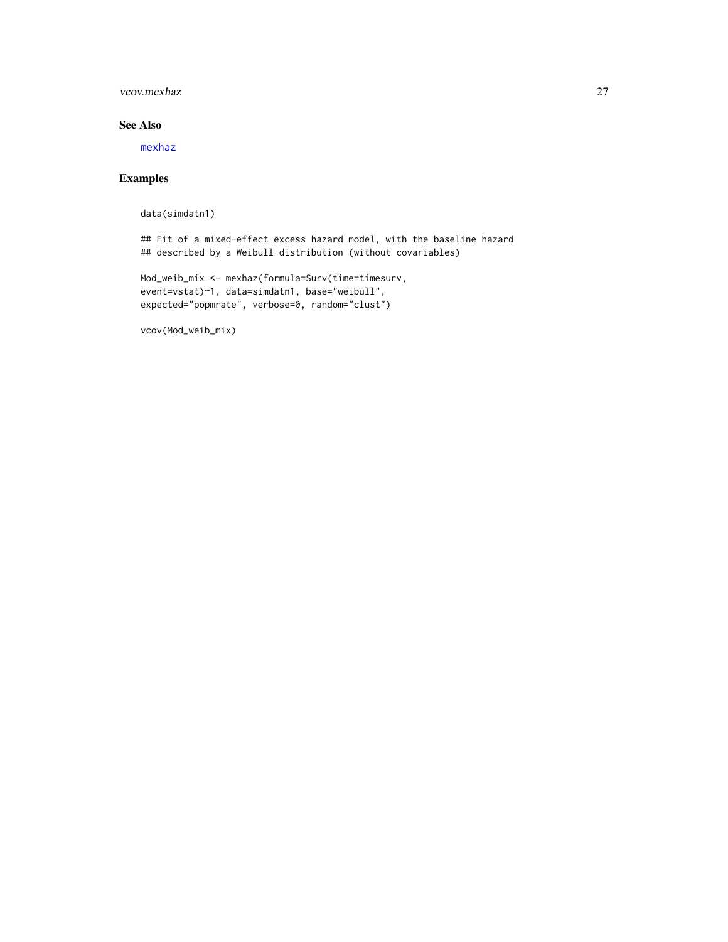# <span id="page-26-0"></span>vcov.mexhaz 27

# See Also

[mexhaz](#page-5-1)

# Examples

data(simdatn1)

## Fit of a mixed-effect excess hazard model, with the baseline hazard ## described by a Weibull distribution (without covariables)

```
Mod_weib_mix <- mexhaz(formula=Surv(time=timesurv,
event=vstat)~1, data=simdatn1, base="weibull",
expected="popmrate", verbose=0, random="clust")
```
vcov(Mod\_weib\_mix)